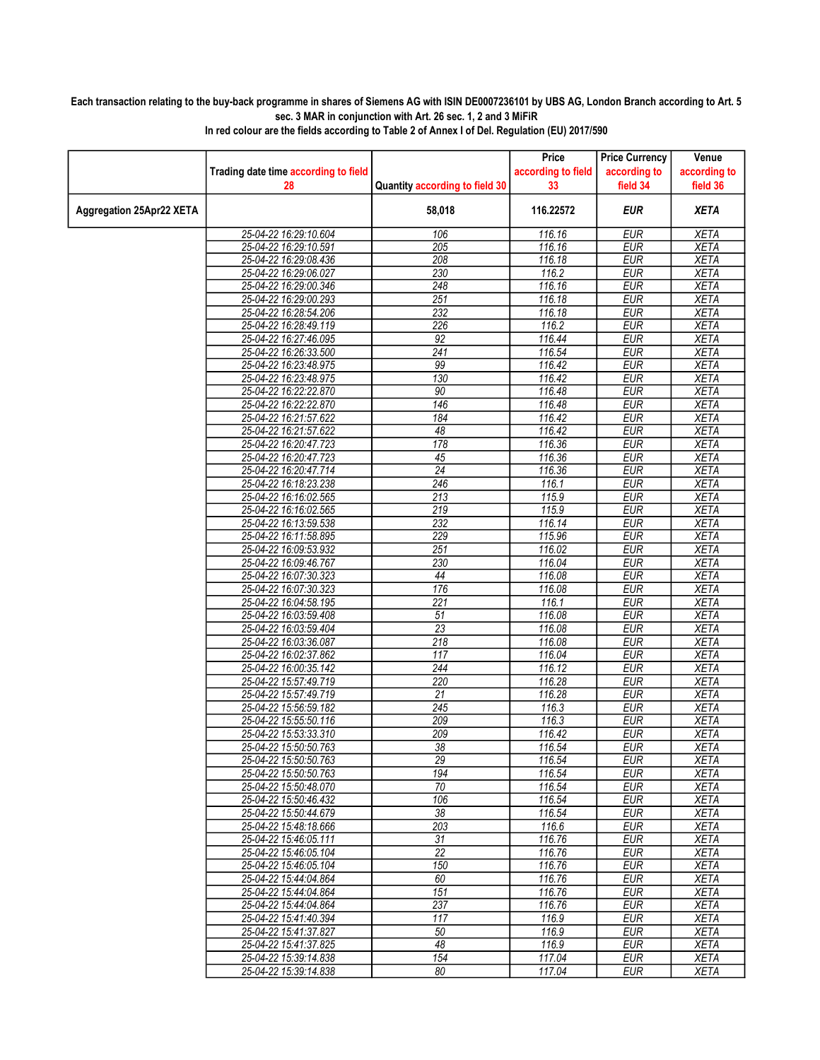## Each transaction relating to the buy-back programme in shares of Siemens AG with ISIN DE0007236101 by UBS AG, London Branch according to Art. 5 sec. 3 MAR in conjunction with Art. 26 sec. 1, 2 and 3 MiFiR

|                          |                                                |                                | Price              | <b>Price Currency</b>    | Venue                      |
|--------------------------|------------------------------------------------|--------------------------------|--------------------|--------------------------|----------------------------|
|                          | Trading date time according to field           |                                | according to field | according to             | according to               |
|                          | 28                                             | Quantity according to field 30 | 33                 | field 34                 | field 36                   |
| Aggregation 25Apr22 XETA |                                                | 58,018                         | 116.22572          | <b>EUR</b>               | <b>XETA</b>                |
|                          | 25-04-22 16:29:10.604                          | 106                            | 116.16             | <b>EUR</b>               | <b>XETA</b>                |
|                          | 25-04-22 16:29:10.591                          | 205                            | 116.16             | <b>EUR</b>               | <b>XETA</b>                |
|                          | 25-04-22 16:29:08.436                          | 208                            | 116.18             | <b>EUR</b>               | <b>XETA</b>                |
|                          | 25-04-22 16:29:06.027                          | 230                            | 116.2              | <b>EUR</b>               | <b>XETA</b>                |
|                          | 25-04-22 16:29:00.346                          | 248                            | 116.16             | <b>EUR</b>               | <b>XETA</b>                |
|                          | 25-04-22 16:29:00.293                          | $\overline{251}$               | 116.18             | <b>EUR</b>               | <b>XETA</b>                |
|                          | 25-04-22 16:28:54.206                          | 232                            | 116.18             | <b>EUR</b>               | <b>XETA</b>                |
|                          | 25-04-22 16:28:49.119                          | 226                            | 116.2              | <b>EUR</b>               | <b>XETA</b>                |
|                          | 25-04-22 16:27:46.095                          | 92                             | 116.44             | <b>EUR</b>               | <b>XETA</b>                |
|                          | 25-04-22 16:26:33.500                          | 241                            | 116.54             | <b>EUR</b>               | <b>XETA</b>                |
|                          | 25-04-22 16:23:48.975                          | 99                             | 116.42             | <b>EUR</b>               | <b>XETA</b>                |
|                          | 25-04-22 16:23:48.975                          | 130                            | 116.42             | <b>EUR</b>               | <b>XETA</b>                |
|                          | 25-04-22 16:22:22.870                          | 90                             | 116.48             | <b>EUR</b>               | <b>XETA</b>                |
|                          | 25-04-22 16:22:22.870                          | 146                            | 116.48             | <b>EUR</b>               | <b>XETA</b>                |
|                          | 25-04-22 16:21:57.622                          | 184                            | 116.42             | <b>EUR</b>               | <b>XETA</b>                |
|                          | 25-04-22 16:21:57.622                          | 48                             | 116.42             | <b>EUR</b>               | <b>XETA</b>                |
|                          | 25-04-22 16:20:47.723                          | 178                            | 116.36             | <b>EUR</b>               | <b>XETA</b>                |
|                          | 25-04-22 16:20:47.723                          | 45                             | 116.36             | <b>EUR</b>               | <b>XETA</b>                |
|                          | 25-04-22 16:20:47.714                          | $\overline{24}$                | 116.36             | <b>EUR</b>               | <b>XETA</b>                |
|                          | 25-04-22 16:18:23.238                          | 246                            | 116.1              | <b>EUR</b>               | <b>XETA</b>                |
|                          | 25-04-22 16:16:02.565                          | 213                            | 115.9              | <b>EUR</b>               | <b>XETA</b>                |
|                          | 25-04-22 16:16:02.565                          | 219                            | 115.9              | <b>EUR</b>               | <b>XETA</b>                |
|                          | 25-04-22 16:13:59.538                          | 232                            | 116.14             | <b>EUR</b>               | <b>XETA</b>                |
|                          | 25-04-22 16:11:58.895                          | 229                            | 115.96             | <b>EUR</b>               | <b>XETA</b>                |
|                          | 25-04-22 16:09:53.932                          | 251                            | 116.02             | <b>EUR</b>               | <b>XETA</b>                |
|                          | 25-04-22 16:09:46.767                          | 230                            | 116.04             | <b>EUR</b>               | <b>XETA</b>                |
|                          | 25-04-22 16:07:30.323                          | 44<br>176                      | 116.08             | <b>EUR</b><br><b>EUR</b> | <b>XETA</b><br><b>XETA</b> |
|                          | 25-04-22 16:07:30.323<br>25-04-22 16:04:58.195 | 221                            | 116.08<br>116.1    | <b>EUR</b>               | <b>XETA</b>                |
|                          |                                                | 51                             |                    | <b>EUR</b>               | <b>XETA</b>                |
|                          | 25-04-22 16:03:59.408<br>25-04-22 16:03:59.404 | $\overline{23}$                | 116.08<br>116.08   | <b>EUR</b>               | <b>XETA</b>                |
|                          | 25-04-22 16:03:36.087                          | 218                            | 116.08             | <b>EUR</b>               | <b>XETA</b>                |
|                          | 25-04-22 16:02:37.862                          | 117                            | 116.04             | <b>EUR</b>               | <b>XETA</b>                |
|                          | 25-04-22 16:00:35.142                          | 244                            | 116.12             | <b>EUR</b>               | <b>XETA</b>                |
|                          | 25-04-22 15:57:49.719                          | 220                            | 116.28             | <b>EUR</b>               | <b>XETA</b>                |
|                          | 25-04-22 15:57:49.719                          | 21                             | 116.28             | <b>EUR</b>               | <b>XETA</b>                |
|                          | 25-04-22 15:56:59.182                          | 245                            | 116.3              | <b>EUR</b>               | <b>XETA</b>                |
|                          | 25-04-22 15:55:50.116                          | 209                            | 116.3              | <b>EUR</b>               | <b>XETA</b>                |
|                          | 25-04-22 15:53:33.310                          | 209                            | 116.42             | <b>EUR</b>               | <b>XETA</b>                |
|                          | 25-04-22 15:50:50.763                          | $\overline{38}$                | 116.54             | <b>EUR</b>               | <b>XETA</b>                |
|                          | 25-04-22 15:50:50.763                          | 29                             | 116.54             | EUR                      | XETA                       |
|                          | 25-04-22 15:50:50.763                          | 194                            | 116.54             | <b>EUR</b>               | <b>XETA</b>                |
|                          | 25-04-22 15:50:48.070                          | 70                             | 116.54             | <b>EUR</b>               | <b>XETA</b>                |
|                          | 25-04-22 15:50:46.432                          | 106                            | 116.54             | <b>EUR</b>               | <b>XETA</b>                |
|                          | 25-04-22 15:50:44.679                          | $\overline{38}$                | 116.54             | <b>EUR</b>               | <b>XETA</b>                |
|                          | 25-04-22 15:48:18.666                          | 203                            | 116.6              | <b>EUR</b>               | XETA                       |
|                          | 25-04-22 15:46:05.111                          | 31                             | 116.76             | <b>EUR</b>               | <b>XETA</b>                |
|                          | 25-04-22 15:46:05.104                          | 22                             | 116.76             | <b>EUR</b>               | <b>XETA</b>                |
|                          | 25-04-22 15:46:05.104                          | 150                            | 116.76             | <b>EUR</b>               | <b>XETA</b>                |
|                          | 25-04-22 15:44:04.864                          | 60                             | 116.76             | <b>EUR</b>               | <b>XETA</b>                |
|                          | 25-04-22 15:44:04.864                          | 151                            | 116.76             | <b>EUR</b>               | <b>XETA</b>                |
|                          | 25-04-22 15:44:04.864                          | 237                            | 116.76             | <b>EUR</b>               | <b>XETA</b>                |
|                          | 25-04-22 15:41:40.394                          | 117                            | 116.9              | <b>EUR</b>               | <b>XETA</b>                |
|                          | 25-04-22 15:41:37.827                          | 50                             | 116.9              | <b>EUR</b>               | <b>XETA</b>                |
|                          | 25-04-22 15:41:37.825                          | 48                             | 116.9              | <b>EUR</b>               | <b>XETA</b>                |
|                          | 25-04-22 15:39:14.838                          | 154                            | 117.04             | <b>EUR</b>               | <b>XETA</b>                |
|                          | 25-04-22 15:39:14.838                          | 80                             | 117.04             | EUR                      | <b>XETA</b>                |

In red colour are the fields according to Table 2 of Annex I of Del. Regulation (EU) 2017/590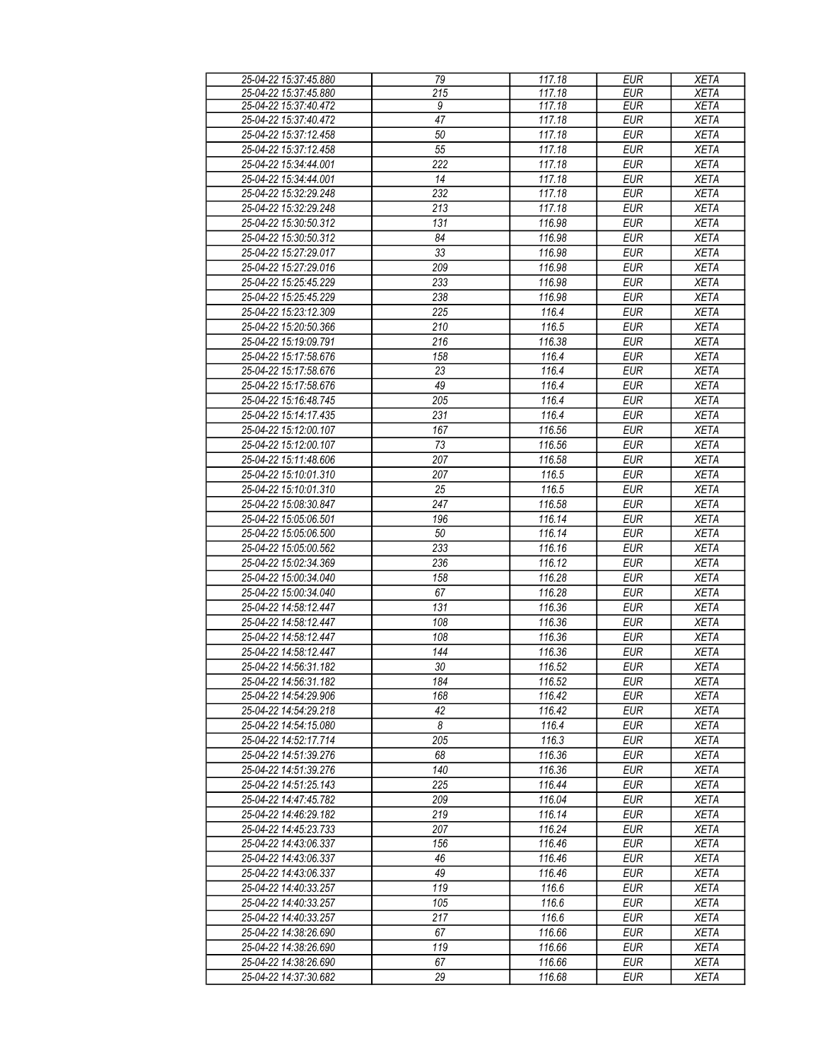| 25-04-22 15:37:45.880 | 79               | 117.18         | <b>EUR</b>               | <b>XETA</b> |
|-----------------------|------------------|----------------|--------------------------|-------------|
| 25-04-22 15:37:45.880 | 215              | 117.18         | <b>EUR</b>               | <b>XETA</b> |
| 25-04-22 15:37:40.472 | 9                | 117.18         | <b>EUR</b>               | <b>XETA</b> |
| 25-04-22 15:37:40.472 | 47               | 117.18         | <b>EUR</b>               | <b>XETA</b> |
| 25-04-22 15:37:12.458 | 50               | 117.18         | <b>EUR</b>               | <b>XETA</b> |
| 25-04-22 15:37:12.458 | 55               | 117.18         | <b>EUR</b>               | <b>XETA</b> |
| 25-04-22 15:34:44.001 | $\overline{222}$ | 117.18         | <b>EUR</b>               | <b>XETA</b> |
| 25-04-22 15:34:44.001 | 14               | 117.18         | <b>EUR</b>               | <b>XETA</b> |
| 25-04-22 15:32:29.248 | 232              | 117.18         | <b>EUR</b>               | <b>XETA</b> |
| 25-04-22 15:32:29.248 | 213              | 117.18         | <b>EUR</b>               | <b>XETA</b> |
| 25-04-22 15:30:50.312 | 131              | 116.98         | <b>EUR</b>               | <b>XETA</b> |
| 25-04-22 15:30:50.312 | 84               | 116.98         | <b>EUR</b>               | <b>XETA</b> |
| 25-04-22 15:27:29.017 | 33               | 116.98         | <b>EUR</b>               | <b>XETA</b> |
| 25-04-22 15:27:29.016 | 209              | 116.98         | <b>EUR</b>               | <b>XETA</b> |
| 25-04-22 15:25:45.229 | 233              | 116.98         | <b>EUR</b>               | <b>XETA</b> |
| 25-04-22 15:25:45.229 | 238              | 116.98         | EUR                      | <b>XETA</b> |
|                       |                  |                |                          | <b>XETA</b> |
| 25-04-22 15:23:12.309 | 225              | 116.4<br>116.5 | <b>EUR</b>               |             |
| 25-04-22 15:20:50.366 | 210              |                | <b>EUR</b><br><b>EUR</b> | <b>XETA</b> |
| 25-04-22 15:19:09.791 | 216              | 116.38         |                          | <b>XETA</b> |
| 25-04-22 15:17:58.676 | 158              | 116.4          | <b>EUR</b>               | <b>XETA</b> |
| 25-04-22 15:17:58.676 | 23               | 116.4          | <b>EUR</b>               | <b>XETA</b> |
| 25-04-22 15:17:58.676 | 49               | 116.4          | <b>EUR</b>               | <b>XETA</b> |
| 25-04-22 15:16:48.745 | 205              | 116.4          | <b>EUR</b>               | <b>XETA</b> |
| 25-04-22 15:14:17.435 | 231              | 116.4          | <b>EUR</b>               | <b>XETA</b> |
| 25-04-22 15:12:00.107 | 167              | 116.56         | <b>EUR</b>               | <b>XETA</b> |
| 25-04-22 15:12:00.107 | 73               | 116.56         | <b>EUR</b>               | <b>XETA</b> |
| 25-04-22 15:11:48.606 | 207              | 116.58         | <b>EUR</b>               | <b>XETA</b> |
| 25-04-22 15:10:01.310 | 207              | 116.5          | <b>EUR</b>               | <b>XETA</b> |
| 25-04-22 15:10:01.310 | 25               | 116.5          | <b>EUR</b>               | <b>XETA</b> |
| 25-04-22 15:08:30.847 | 247              | 116.58         | EUR                      | <b>XETA</b> |
| 25-04-22 15:05:06.501 | 196              | 116.14         | <b>EUR</b>               | <b>XETA</b> |
| 25-04-22 15:05:06.500 | 50               | 116.14         | <b>EUR</b>               | <b>XETA</b> |
| 25-04-22 15:05:00.562 | 233              | 116.16         | <b>EUR</b>               | <b>XETA</b> |
| 25-04-22 15:02:34.369 | 236              | 116.12         | <b>EUR</b>               | <b>XETA</b> |
| 25-04-22 15:00:34.040 | 158              | 116.28         | <b>EUR</b>               | <b>XETA</b> |
| 25-04-22 15:00:34.040 | 67               | 116.28         | <b>EUR</b>               | <b>XETA</b> |
| 25-04-22 14:58:12.447 | 131              | 116.36         | <b>EUR</b>               | <b>XETA</b> |
| 25-04-22 14:58:12.447 | 108              | 116.36         | <b>EUR</b>               | <b>XETA</b> |
| 25-04-22 14:58:12.447 | 108              | 116.36         | <b>EUR</b>               | <b>XETA</b> |
| 25-04-22 14:58:12.447 | 144              | 116.36         | <b>EUR</b>               | <b>XETA</b> |
| 25-04-22 14:56:31.182 | 30               | 116.52         | EUR                      | <b>XETA</b> |
| 25-04-22 14:56:31.182 | 184              | 116.52         | <b>EUR</b>               | <b>XETA</b> |
| 25-04-22 14:54:29.906 | 168              | 116.42         | <b>EUR</b>               | <b>XETA</b> |
| 25-04-22 14:54:29.218 | 42               | 116.42         | $E\overline{UR}$         | <b>XETA</b> |
| 25-04-22 14:54:15.080 | 8                | 116.4          | <b>EUR</b>               | <b>XETA</b> |
| 25-04-22 14:52:17.714 | 205              | 116.3          | <b>EUR</b>               | <b>XETA</b> |
| 25-04-22 14:51:39.276 | 68               | 116.36         | <b>EUR</b>               | <b>XETA</b> |
| 25-04-22 14:51:39.276 | 140              | 116.36         | <b>EUR</b>               | <b>XETA</b> |
| 25-04-22 14:51:25.143 | 225              | 116.44         | <b>EUR</b>               | <b>XETA</b> |
| 25-04-22 14:47:45.782 | 209              | 116.04         | <b>EUR</b>               | <b>XETA</b> |
| 25-04-22 14:46:29.182 | 219              | 116.14         | <b>EUR</b>               | <b>XETA</b> |
| 25-04-22 14:45:23.733 | 207              | 116.24         | <b>EUR</b>               | <b>XETA</b> |
| 25-04-22 14:43:06.337 | 156              | 116.46         | <b>EUR</b>               | <b>XETA</b> |
| 25-04-22 14:43:06.337 | 46               | 116.46         | <b>EUR</b>               | <b>XETA</b> |
| 25-04-22 14:43:06.337 | 49               | 116.46         | <b>EUR</b>               | <b>XETA</b> |
| 25-04-22 14:40:33.257 | 119              | 116.6          | <b>EUR</b>               | <b>XETA</b> |
| 25-04-22 14:40:33.257 | 105              | 116.6          | <b>EUR</b>               | <b>XETA</b> |
| 25-04-22 14:40:33.257 | 217              | 116.6          | <b>EUR</b>               | <b>XETA</b> |
| 25-04-22 14:38:26.690 | 67               | 116.66         | <b>EUR</b>               | <b>XETA</b> |
| 25-04-22 14:38:26.690 | 119              | 116.66         | <b>EUR</b>               | XETA        |
| 25-04-22 14:38:26.690 | 67               | 116.66         | <b>EUR</b>               | <b>XETA</b> |
| 25-04-22 14:37:30.682 | 29               | 116.68         | <b>EUR</b>               | <b>XETA</b> |
|                       |                  |                |                          |             |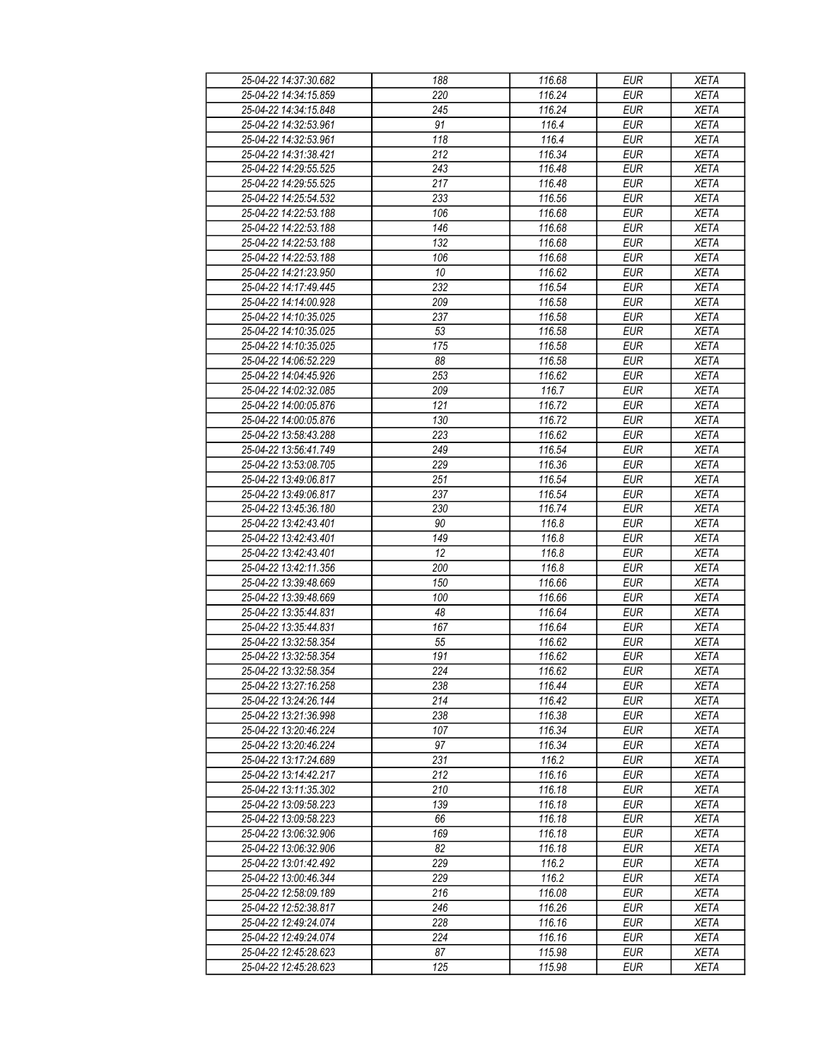| 25-04-22 14:37:30.682 | 188              | 116.68 | <b>EUR</b> | <b>XETA</b> |
|-----------------------|------------------|--------|------------|-------------|
| 25-04-22 14:34:15.859 | 220              | 116.24 | <b>EUR</b> | <b>XETA</b> |
| 25-04-22 14:34:15.848 | 245              | 116.24 | <b>EUR</b> | <b>XETA</b> |
| 25-04-22 14:32:53.961 | 91               | 116.4  | <b>EUR</b> | <b>XETA</b> |
| 25-04-22 14:32:53.961 | 118              | 116.4  | <b>EUR</b> | <b>XETA</b> |
| 25-04-22 14:31:38.421 | 212              | 116.34 | <b>EUR</b> | <b>XETA</b> |
| 25-04-22 14:29:55.525 | 243              | 116.48 | <b>EUR</b> | <b>XETA</b> |
| 25-04-22 14:29:55.525 | $\overline{217}$ | 116.48 | <b>EUR</b> | <b>XETA</b> |
| 25-04-22 14:25:54.532 | 233              | 116.56 | <b>EUR</b> | <b>XETA</b> |
| 25-04-22 14:22:53.188 | 106              | 116.68 | <b>EUR</b> | <b>XETA</b> |
| 25-04-22 14:22:53.188 | 146              | 116.68 | <b>EUR</b> | <b>XETA</b> |
| 25-04-22 14:22:53.188 | 132              | 116.68 | <b>EUR</b> | <b>XETA</b> |
| 25-04-22 14:22:53.188 | 106              | 116.68 | <b>EUR</b> | <b>XETA</b> |
| 25-04-22 14:21:23.950 | 10               | 116.62 | <b>EUR</b> | <b>XETA</b> |
| 25-04-22 14:17:49.445 | 232              | 116.54 | <b>EUR</b> | <b>XETA</b> |
| 25-04-22 14:14:00.928 | 209              | 116.58 | <b>EUR</b> | <b>XETA</b> |
| 25-04-22 14:10:35.025 | 237              | 116.58 | <b>EUR</b> | <b>XETA</b> |
| 25-04-22 14:10:35.025 | 53               | 116.58 | <b>EUR</b> |             |
|                       |                  |        |            | <b>XETA</b> |
| 25-04-22 14:10:35.025 | 175              | 116.58 | <b>EUR</b> | <b>XETA</b> |
| 25-04-22 14:06:52.229 | 88               | 116.58 | <b>EUR</b> | <b>XETA</b> |
| 25-04-22 14:04:45.926 | 253              | 116.62 | <b>EUR</b> | <b>XETA</b> |
| 25-04-22 14:02:32.085 | 209              | 116.7  | <b>EUR</b> | <b>XETA</b> |
| 25-04-22 14:00:05.876 | 121              | 116.72 | <b>EUR</b> | <b>XETA</b> |
| 25-04-22 14:00:05.876 | 130              | 116.72 | <b>EUR</b> | <b>XETA</b> |
| 25-04-22 13:58:43.288 | 223              | 116.62 | <b>EUR</b> | <b>XETA</b> |
| 25-04-22 13:56:41.749 | 249              | 116.54 | <b>EUR</b> | <b>XETA</b> |
| 25-04-22 13:53:08.705 | 229              | 116.36 | <b>EUR</b> | <b>XETA</b> |
| 25-04-22 13:49:06.817 | 251              | 116.54 | <b>EUR</b> | <b>XETA</b> |
| 25-04-22 13:49:06.817 | 237              | 116.54 | <b>EUR</b> | <b>XETA</b> |
| 25-04-22 13:45:36.180 | 230              | 116.74 | <b>EUR</b> | <b>XETA</b> |
| 25-04-22 13:42:43.401 | 90               | 116.8  | <b>EUR</b> | <b>XETA</b> |
| 25-04-22 13:42:43.401 | 149              | 116.8  | <b>EUR</b> | <b>XETA</b> |
| 25-04-22 13:42:43.401 | 12               | 116.8  | <b>EUR</b> | <b>XETA</b> |
| 25-04-22 13:42:11.356 | 200              | 116.8  | <b>EUR</b> | <b>XETA</b> |
| 25-04-22 13:39:48.669 | 150              | 116.66 | <b>EUR</b> | <b>XETA</b> |
| 25-04-22 13:39:48.669 | 100              | 116.66 | <b>EUR</b> | <b>XETA</b> |
| 25-04-22 13:35:44.831 | 48               | 116.64 | <b>EUR</b> | <b>XETA</b> |
| 25-04-22 13:35:44.831 | 167              | 116.64 | <b>EUR</b> | <b>XETA</b> |
| 25-04-22 13:32:58.354 | 55               | 116.62 | <b>EUR</b> | <b>XETA</b> |
| 25-04-22 13:32:58.354 | 191              | 116.62 | <b>EUR</b> | <b>XETA</b> |
| 25-04-22 13:32:58.354 | 224              | 116.62 | <b>EUR</b> | <b>XETA</b> |
| 25-04-22 13:27:16.258 | 238              | 116.44 | <b>EUR</b> | <b>XETA</b> |
| 25-04-22 13:24:26.144 | 214              | 116.42 | <b>EUR</b> | <b>XETA</b> |
| 25-04-22 13:21:36.998 | 238              | 116.38 | <b>EUR</b> | <b>XETA</b> |
| 25-04-22 13:20:46.224 | 107              | 116.34 | <b>EUR</b> | <b>XETA</b> |
| 25-04-22 13:20:46.224 | 97               | 116.34 | <b>EUR</b> | <b>XETA</b> |
| 25-04-22 13:17:24.689 | 231              | 116.2  | <b>EUR</b> | <b>XETA</b> |
| 25-04-22 13:14:42.217 | 212              | 116.16 | <b>EUR</b> | <b>XETA</b> |
| 25-04-22 13:11:35.302 | 210              | 116.18 | <b>EUR</b> | <b>XETA</b> |
| 25-04-22 13:09:58.223 | 139              | 116.18 | <b>EUR</b> | <b>XETA</b> |
| 25-04-22 13:09:58.223 | 66               | 116.18 | <b>EUR</b> | <b>XETA</b> |
| 25-04-22 13:06:32.906 | 169              | 116.18 | <b>EUR</b> | <b>XETA</b> |
| 25-04-22 13:06:32.906 | 82               | 116.18 | <b>EUR</b> | <b>XETA</b> |
| 25-04-22 13:01:42.492 | 229              | 116.2  | <b>EUR</b> | <b>XETA</b> |
| 25-04-22 13:00:46.344 | 229              | 116.2  | <b>EUR</b> | <b>XETA</b> |
| 25-04-22 12:58:09.189 | 216              | 116.08 | <b>EUR</b> | <b>XETA</b> |
| 25-04-22 12:52:38.817 | 246              | 116.26 | <b>EUR</b> | <b>XETA</b> |
| 25-04-22 12:49:24.074 | 228              | 116.16 | <b>EUR</b> | <b>XETA</b> |
| 25-04-22 12:49:24.074 | 224              | 116.16 | <b>EUR</b> | <b>XETA</b> |
| 25-04-22 12:45:28.623 | 87               | 115.98 | <b>EUR</b> | <b>XETA</b> |
| 25-04-22 12:45:28.623 | 125              | 115.98 | <b>EUR</b> | <b>XETA</b> |
|                       |                  |        |            |             |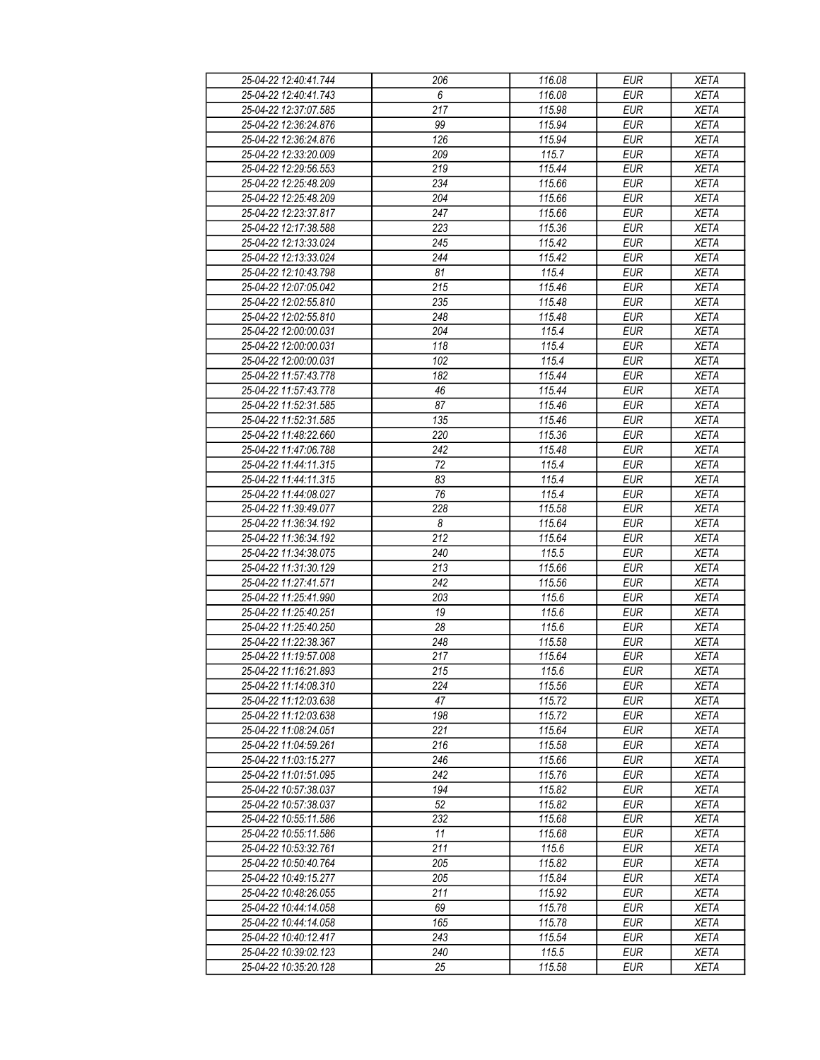| 25-04-22 12:40:41.744 | 206                    | 116.08 | <b>EUR</b> | <b>XETA</b> |
|-----------------------|------------------------|--------|------------|-------------|
| 25-04-22 12:40:41.743 | 6                      | 116.08 | <b>EUR</b> | <b>XETA</b> |
| 25-04-22 12:37:07.585 | $\overline{217}$       | 115.98 | <b>EUR</b> | <b>XETA</b> |
| 25-04-22 12:36:24.876 | 99                     | 115.94 | <b>EUR</b> | <b>XETA</b> |
| 25-04-22 12:36:24.876 | 126                    | 115.94 | <b>EUR</b> | <b>XETA</b> |
| 25-04-22 12:33:20.009 | 209                    | 115.7  | <b>EUR</b> | <b>XETA</b> |
| 25-04-22 12:29:56.553 | 219                    | 115.44 | <b>EUR</b> | <b>XETA</b> |
| 25-04-22 12:25:48.209 | 234                    | 115.66 | <b>EUR</b> | <b>XETA</b> |
| 25-04-22 12:25:48.209 | 204                    | 115.66 | <b>EUR</b> | <b>XETA</b> |
| 25-04-22 12:23:37.817 | 247                    | 115.66 | <b>EUR</b> | <b>XETA</b> |
|                       |                        |        |            |             |
| 25-04-22 12:17:38.588 | 223                    | 115.36 | <b>EUR</b> | <b>XETA</b> |
| 25-04-22 12:13:33.024 | 245                    | 115.42 | <b>EUR</b> | <b>XETA</b> |
| 25-04-22 12:13:33.024 | 244                    | 115.42 | <b>EUR</b> | <b>XETA</b> |
| 25-04-22 12:10:43.798 | 81<br>$\overline{215}$ | 115.4  | <b>EUR</b> | <b>XETA</b> |
| 25-04-22 12:07:05.042 |                        | 115.46 | <b>EUR</b> | <b>XETA</b> |
| 25-04-22 12:02:55.810 | 235                    | 115.48 | <b>EUR</b> | <b>XETA</b> |
| 25-04-22 12:02:55.810 | 248                    | 115.48 | <b>EUR</b> | <b>XETA</b> |
| 25-04-22 12:00:00.031 | 204                    | 115.4  | <b>EUR</b> | <b>XETA</b> |
| 25-04-22 12:00:00.031 | 118                    | 115.4  | <b>EUR</b> | <b>XETA</b> |
| 25-04-22 12:00:00.031 | 102                    | 115.4  | <b>EUR</b> | <b>XETA</b> |
| 25-04-22 11:57:43.778 | 182                    | 115.44 | <b>EUR</b> | <b>XETA</b> |
| 25-04-22 11:57:43.778 | 46                     | 115.44 | <b>EUR</b> | <b>XETA</b> |
| 25-04-22 11:52:31.585 | 87                     | 115.46 | <b>EUR</b> | <b>XETA</b> |
| 25-04-22 11:52:31.585 | 135                    | 115.46 | <b>EUR</b> | <b>XETA</b> |
| 25-04-22 11:48:22.660 | 220                    | 115.36 | <b>EUR</b> | <b>XETA</b> |
| 25-04-22 11:47:06.788 | 242                    | 115.48 | <b>EUR</b> | <b>XETA</b> |
| 25-04-22 11:44:11.315 | 72                     | 115.4  | <b>EUR</b> | <b>XETA</b> |
| 25-04-22 11:44:11.315 | 83                     | 115.4  | <b>EUR</b> | <b>XETA</b> |
| 25-04-22 11:44:08.027 | 76                     | 115.4  | <b>EUR</b> | <b>XETA</b> |
| 25-04-22 11:39:49.077 | 228                    | 115.58 | <b>EUR</b> | <b>XETA</b> |
| 25-04-22 11:36:34.192 | 8                      | 115.64 | <b>EUR</b> | <b>XETA</b> |
| 25-04-22 11:36:34.192 | 212                    | 115.64 | <b>EUR</b> | <b>XETA</b> |
| 25-04-22 11:34:38.075 | 240                    | 115.5  | <b>EUR</b> | <b>XETA</b> |
| 25-04-22 11:31:30.129 | 213                    | 115.66 | <b>EUR</b> | <b>XETA</b> |
| 25-04-22 11:27:41.571 | 242                    | 115.56 | <b>EUR</b> | <b>XETA</b> |
| 25-04-22 11:25:41.990 | 203                    | 115.6  | <b>EUR</b> | <b>XETA</b> |
| 25-04-22 11:25:40.251 | 19                     | 115.6  | <b>EUR</b> | <b>XETA</b> |
| 25-04-22 11:25:40.250 | 28                     | 115.6  | <b>EUR</b> | <b>XETA</b> |
| 25-04-22 11:22:38.367 | 248                    | 115.58 | <b>EUR</b> | <b>XETA</b> |
| 25-04-22 11:19:57.008 | 217                    | 115.64 | <b>EUR</b> | <b>XETA</b> |
| 25-04-22 11:16:21.893 | 215                    | 115.6  | <b>EUR</b> | <b>XETA</b> |
| 25-04-22 11:14:08.310 | 224                    | 115.56 | <b>EUR</b> | <b>XETA</b> |
| 25-04-22 11:12:03.638 | 47                     | 115.72 | <b>EUR</b> | <b>XETA</b> |
| 25-04-22 11:12:03.638 | 198                    | 115.72 | <b>EUR</b> | <b>XETA</b> |
| 25-04-22 11:08:24.051 | 221                    | 115.64 | <b>EUR</b> | <b>XETA</b> |
| 25-04-22 11:04:59.261 | 216                    | 115.58 | <b>EUR</b> | <b>XETA</b> |
| 25-04-22 11:03:15.277 | 246                    | 115.66 | <b>EUR</b> | <b>XETA</b> |
| 25-04-22 11:01:51.095 | 242                    | 115.76 | <b>EUR</b> | <b>XETA</b> |
| 25-04-22 10:57:38.037 | 194                    | 115.82 | <b>EUR</b> | <b>XETA</b> |
| 25-04-22 10:57:38.037 | 52                     | 115.82 | <b>EUR</b> | <b>XETA</b> |
| 25-04-22 10:55:11.586 | 232                    | 115.68 | <b>EUR</b> | <b>XETA</b> |
| 25-04-22 10:55:11.586 | 11                     | 115.68 | <b>EUR</b> | <b>XETA</b> |
| 25-04-22 10:53:32.761 | $\overline{211}$       | 115.6  | <b>EUR</b> | <b>XETA</b> |
| 25-04-22 10:50:40.764 | 205                    | 115.82 | <b>EUR</b> | <b>XETA</b> |
| 25-04-22 10:49:15.277 | 205                    | 115.84 | <b>EUR</b> | <b>XETA</b> |
| 25-04-22 10:48:26.055 | 211                    | 115.92 | <b>EUR</b> | <b>XETA</b> |
| 25-04-22 10:44:14.058 | 69                     | 115.78 | <b>EUR</b> | <b>XETA</b> |
| 25-04-22 10:44:14.058 | 165                    | 115.78 | <b>EUR</b> | <b>XETA</b> |
| 25-04-22 10:40:12.417 | 243                    | 115.54 | <b>EUR</b> | <b>XETA</b> |
| 25-04-22 10:39:02.123 | 240                    | 115.5  | <b>EUR</b> | <b>XETA</b> |
| 25-04-22 10:35:20.128 | 25                     | 115.58 | <b>EUR</b> | <b>XETA</b> |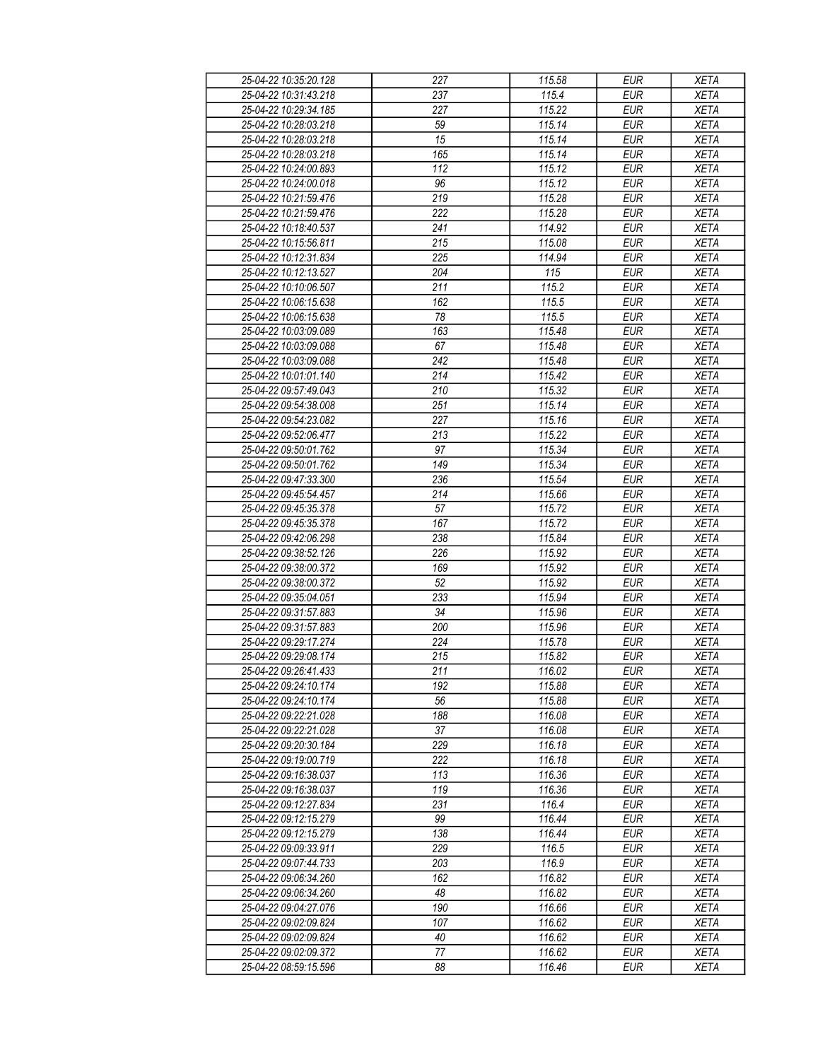| 25-04-22 10:35:20.128 | 227 | 115.58 | <b>EUR</b> | <b>XETA</b> |
|-----------------------|-----|--------|------------|-------------|
| 25-04-22 10:31:43.218 | 237 | 115.4  | <b>EUR</b> | <b>XETA</b> |
| 25-04-22 10:29:34.185 | 227 | 115.22 | <b>EUR</b> | <b>XETA</b> |
| 25-04-22 10:28:03.218 | 59  | 115.14 | <b>EUR</b> | <b>XETA</b> |
| 25-04-22 10:28:03.218 | 15  | 115.14 | <b>EUR</b> | <b>XETA</b> |
| 25-04-22 10:28:03.218 | 165 | 115.14 | <b>EUR</b> | <b>XETA</b> |
| 25-04-22 10:24:00.893 | 112 | 115.12 | <b>EUR</b> | <b>XETA</b> |
|                       | 96  | 115.12 | <b>EUR</b> |             |
| 25-04-22 10:24:00.018 |     |        |            | <b>XETA</b> |
| 25-04-22 10:21:59.476 | 219 | 115.28 | <b>EUR</b> | <b>XETA</b> |
| 25-04-22 10:21:59.476 | 222 | 115.28 | <b>EUR</b> | <b>XETA</b> |
| 25-04-22 10:18:40.537 | 241 | 114.92 | <b>EUR</b> | <b>XETA</b> |
| 25-04-22 10:15:56.811 | 215 | 115.08 | <b>EUR</b> | <b>XETA</b> |
| 25-04-22 10:12:31.834 | 225 | 114.94 | <b>EUR</b> | <b>XETA</b> |
| 25-04-22 10:12:13.527 | 204 | 115    | <b>EUR</b> | <b>XETA</b> |
| 25-04-22 10:10:06.507 | 211 | 115.2  | <b>EUR</b> | <b>XETA</b> |
| 25-04-22 10:06:15.638 | 162 | 115.5  | <b>EUR</b> | <b>XETA</b> |
| 25-04-22 10:06:15.638 | 78  | 115.5  | <b>EUR</b> | <b>XETA</b> |
| 25-04-22 10:03:09.089 | 163 | 115.48 | <b>EUR</b> | <b>XETA</b> |
| 25-04-22 10:03:09.088 | 67  | 115.48 | <b>EUR</b> | <b>XETA</b> |
| 25-04-22 10:03:09.088 | 242 | 115.48 | <b>EUR</b> | <b>XETA</b> |
| 25-04-22 10:01:01.140 | 214 | 115.42 | <b>EUR</b> | <b>XETA</b> |
| 25-04-22 09:57:49.043 | 210 | 115.32 | <b>EUR</b> | <b>XETA</b> |
| 25-04-22 09:54:38.008 | 251 | 115.14 | <b>EUR</b> | <b>XETA</b> |
| 25-04-22 09:54:23.082 | 227 | 115.16 | <b>EUR</b> | <b>XETA</b> |
| 25-04-22 09:52:06.477 | 213 | 115.22 | <b>EUR</b> | <b>XETA</b> |
| 25-04-22 09:50:01.762 | 97  | 115.34 | EUR        | <b>XETA</b> |
| 25-04-22 09:50:01.762 | 149 | 115.34 | <b>EUR</b> | <b>XETA</b> |
| 25-04-22 09:47:33.300 | 236 | 115.54 | <b>EUR</b> | <b>XETA</b> |
| 25-04-22 09:45:54.457 | 214 | 115.66 | <b>EUR</b> | <b>XETA</b> |
| 25-04-22 09:45:35.378 | 57  | 115.72 | <b>EUR</b> | <b>XETA</b> |
| 25-04-22 09:45:35.378 | 167 | 115.72 | <b>EUR</b> | <b>XETA</b> |
| 25-04-22 09:42:06.298 | 238 | 115.84 | <b>EUR</b> | <b>XETA</b> |
| 25-04-22 09:38:52.126 | 226 | 115.92 | <b>EUR</b> | <b>XETA</b> |
| 25-04-22 09:38:00.372 | 169 | 115.92 | <b>EUR</b> | <b>XETA</b> |
| 25-04-22 09:38:00.372 | 52  | 115.92 | <b>EUR</b> | <b>XETA</b> |
| 25-04-22 09:35:04.051 | 233 | 115.94 | <b>EUR</b> | <b>XETA</b> |
| 25-04-22 09:31:57.883 | 34  | 115.96 | <b>EUR</b> | <b>XETA</b> |
|                       |     |        |            |             |
| 25-04-22 09:31:57.883 | 200 | 115.96 | <b>EUR</b> | <b>XETA</b> |
| 25-04-22 09:29:17.274 | 224 | 115.78 | <b>EUR</b> | <b>XETA</b> |
| 25-04-22 09:29:08.174 | 215 | 115.82 | <b>EUR</b> | <b>XETA</b> |
| 25-04-22 09:26:41.433 | 211 | 116.02 | EUR        | <b>XETA</b> |
| 25-04-22 09:24:10.174 | 192 | 115.88 | <b>EUR</b> | <b>XETA</b> |
| 25-04-22 09:24:10.174 | 56  | 115.88 | <b>EUR</b> | <b>XETA</b> |
| 25-04-22 09:22:21.028 | 188 | 116.08 | <b>EUR</b> | <b>XETA</b> |
| 25-04-22 09:22:21.028 | 37  | 116.08 | <b>EUR</b> | <b>XETA</b> |
| 25-04-22 09:20:30.184 | 229 | 116.18 | <b>EUR</b> | <b>XETA</b> |
| 25-04-22 09:19:00.719 | 222 | 116.18 | <b>EUR</b> | <b>XETA</b> |
| 25-04-22 09:16:38.037 | 113 | 116.36 | <b>EUR</b> | <b>XETA</b> |
| 25-04-22 09:16:38.037 | 119 | 116.36 | <b>EUR</b> | <b>XETA</b> |
| 25-04-22 09:12:27.834 | 231 | 116.4  | <b>EUR</b> | <b>XETA</b> |
| 25-04-22 09:12:15.279 | 99  | 116.44 | <b>EUR</b> | <b>XETA</b> |
| 25-04-22 09:12:15.279 | 138 | 116.44 | <b>EUR</b> | <b>XETA</b> |
| 25-04-22 09:09:33.911 | 229 | 116.5  | <b>EUR</b> | <b>XETA</b> |
| 25-04-22 09:07:44.733 | 203 | 116.9  | <b>EUR</b> | <b>XETA</b> |
| 25-04-22 09:06:34.260 | 162 | 116.82 | <b>EUR</b> | <b>XETA</b> |
| 25-04-22 09:06:34.260 | 48  | 116.82 | <b>EUR</b> | <b>XETA</b> |
| 25-04-22 09:04:27.076 | 190 | 116.66 | <b>EUR</b> | <b>XETA</b> |
| 25-04-22 09:02:09.824 | 107 | 116.62 | <b>EUR</b> | <b>XETA</b> |
| 25-04-22 09:02:09.824 | 40  | 116.62 | <b>EUR</b> | <b>XETA</b> |
| 25-04-22 09:02:09.372 | 77  | 116.62 | <b>EUR</b> | <b>XETA</b> |
| 25-04-22 08:59:15.596 | 88  | 116.46 | <b>EUR</b> | <b>XETA</b> |
|                       |     |        |            |             |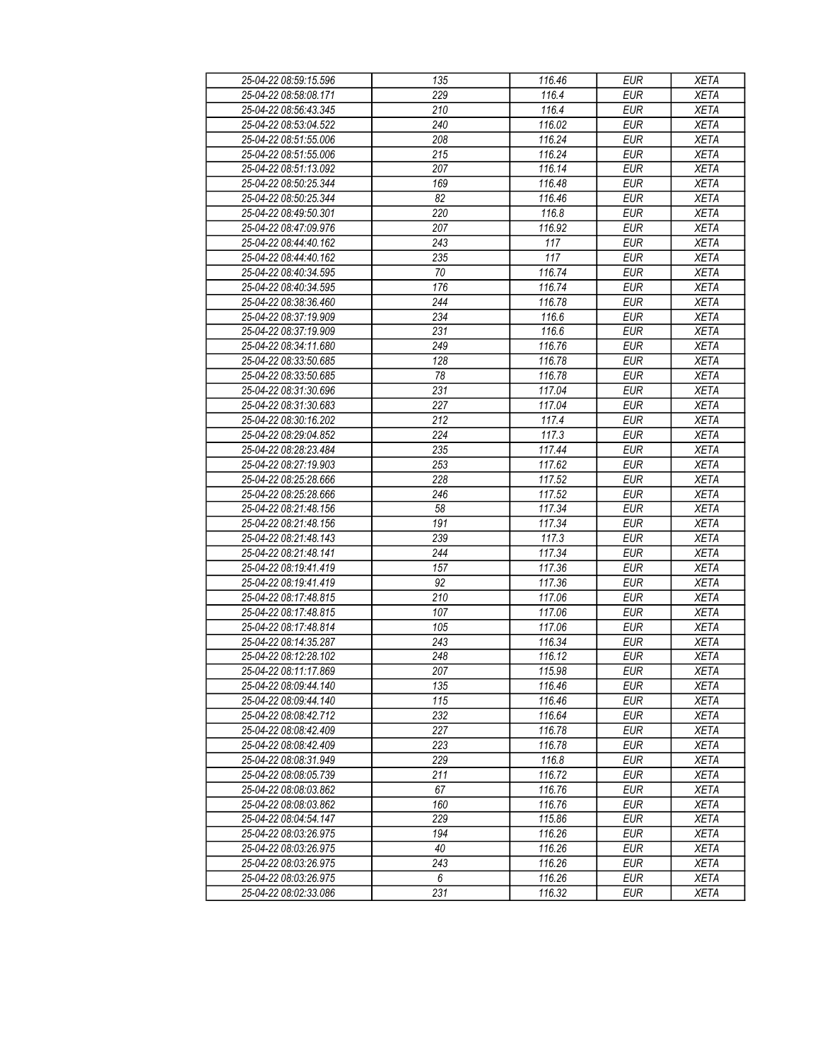| 25-04-22 08:59:15.596 | 135 | 116.46 | <b>EUR</b>       | <b>XETA</b> |
|-----------------------|-----|--------|------------------|-------------|
| 25-04-22 08:58:08.171 | 229 | 116.4  | <b>EUR</b>       | <b>XETA</b> |
| 25-04-22 08:56:43.345 | 210 | 116.4  | <b>EUR</b>       | <b>XETA</b> |
| 25-04-22 08:53:04.522 | 240 | 116.02 | <b>EUR</b>       | <b>XETA</b> |
| 25-04-22 08:51:55.006 | 208 | 116.24 | <b>EUR</b>       | <b>XETA</b> |
| 25-04-22 08:51:55.006 | 215 | 116.24 | <b>EUR</b>       | <b>XETA</b> |
| 25-04-22 08:51:13.092 | 207 | 116.14 | <b>EUR</b>       | <b>XETA</b> |
| 25-04-22 08:50:25.344 | 169 | 116.48 | <b>EUR</b>       | <b>XETA</b> |
| 25-04-22 08:50:25.344 | 82  | 116.46 | <b>EUR</b>       | <b>XETA</b> |
| 25-04-22 08:49:50.301 | 220 | 116.8  | <b>EUR</b>       | <b>XETA</b> |
| 25-04-22 08:47:09.976 | 207 | 116.92 | <b>EUR</b>       | <b>XETA</b> |
| 25-04-22 08:44:40.162 | 243 | 117    | <b>EUR</b>       | <b>XETA</b> |
| 25-04-22 08:44:40.162 | 235 | 117    | <b>EUR</b>       | <b>XETA</b> |
| 25-04-22 08:40:34.595 | 70  | 116.74 | <b>EUR</b>       | <b>XETA</b> |
| 25-04-22 08:40:34.595 | 176 | 116.74 | <b>EUR</b>       | <b>XETA</b> |
| 25-04-22 08:38:36.460 | 244 | 116.78 | <b>EUR</b>       | <b>XETA</b> |
| 25-04-22 08:37:19.909 | 234 | 116.6  | <b>EUR</b>       | <b>XETA</b> |
| 25-04-22 08:37:19.909 | 231 | 116.6  | <b>EUR</b>       | <b>XETA</b> |
| 25-04-22 08:34:11.680 | 249 | 116.76 | <b>EUR</b>       | <b>XETA</b> |
| 25-04-22 08:33:50.685 | 128 | 116.78 | <b>EUR</b>       | <b>XETA</b> |
| 25-04-22 08:33:50.685 | 78  | 116.78 | <b>EUR</b>       | <b>XETA</b> |
| 25-04-22 08:31:30.696 | 231 | 117.04 | <b>EUR</b>       | <b>XETA</b> |
| 25-04-22 08:31:30.683 | 227 | 117.04 | <b>EUR</b>       | <b>XETA</b> |
| 25-04-22 08:30:16.202 | 212 | 117.4  | <b>EUR</b>       | <b>XETA</b> |
| 25-04-22 08:29:04.852 | 224 | 117.3  | <b>EUR</b>       | <b>XETA</b> |
| 25-04-22 08:28:23.484 | 235 | 117.44 | <b>EUR</b>       | <b>XETA</b> |
| 25-04-22 08:27:19.903 | 253 | 117.62 | <b>EUR</b>       | <b>XETA</b> |
| 25-04-22 08:25:28.666 | 228 | 117.52 | <b>EUR</b>       | <b>XETA</b> |
| 25-04-22 08:25:28.666 | 246 | 117.52 | <b>EUR</b>       | <b>XETA</b> |
| 25-04-22 08:21:48.156 | 58  | 117.34 | <b>EUR</b>       | <b>XETA</b> |
| 25-04-22 08:21:48.156 | 191 | 117.34 | <b>EUR</b>       | <b>XETA</b> |
| 25-04-22 08:21:48.143 | 239 | 117.3  | <b>EUR</b>       | <b>XETA</b> |
| 25-04-22 08:21:48.141 | 244 | 117.34 | <b>EUR</b>       | <b>XETA</b> |
| 25-04-22 08:19:41.419 | 157 | 117.36 | <b>EUR</b>       | <b>XETA</b> |
| 25-04-22 08:19:41.419 | 92  | 117.36 | <b>EUR</b>       | <b>XETA</b> |
| 25-04-22 08:17:48.815 | 210 | 117.06 | <b>EUR</b>       | <b>XETA</b> |
| 25-04-22 08:17:48.815 | 107 | 117.06 | <b>EUR</b>       | <b>XETA</b> |
| 25-04-22 08:17:48.814 | 105 | 117.06 | <b>EUR</b>       | <b>XETA</b> |
| 25-04-22 08:14:35.287 | 243 | 116.34 | <b>EUR</b>       | <b>XETA</b> |
| 25-04-22 08:12:28.102 | 248 | 116.12 | <b>EUR</b>       | <b>XETA</b> |
| 25-04-22 08:11:17.869 | 207 | 115.98 | <b>EUR</b>       | <b>XETA</b> |
| 25-04-22 08:09:44.140 | 135 | 116.46 | <b>EUR</b>       | <b>XETA</b> |
| 25-04-22 08:09:44.140 | 115 | 116.46 | <b>EUR</b>       | <b>XETA</b> |
| 25-04-22 08:08:42.712 | 232 | 116.64 | <b>EUR</b>       | <b>XETA</b> |
| 25-04-22 08:08:42.409 | 227 | 116.78 | <b>EUR</b>       | <b>XETA</b> |
| 25-04-22 08:08:42.409 | 223 | 116.78 | <b>EUR</b>       | <b>XETA</b> |
| 25-04-22 08:08:31.949 | 229 | 116.8  | <b>EUR</b>       | <b>XETA</b> |
| 25-04-22 08:08:05.739 | 211 | 116.72 | <b>EUR</b>       | <b>XETA</b> |
| 25-04-22 08:08:03.862 | 67  | 116.76 | <b>EUR</b>       | <b>XETA</b> |
| 25-04-22 08:08:03.862 | 160 | 116.76 | <b>EUR</b>       | <b>XETA</b> |
| 25-04-22 08:04:54.147 | 229 | 115.86 | $E\overline{UR}$ | <b>XETA</b> |
| 25-04-22 08:03:26.975 | 194 | 116.26 | <b>EUR</b>       | <b>XETA</b> |
| 25-04-22 08:03:26.975 | 40  | 116.26 | <b>EUR</b>       | <b>XETA</b> |
| 25-04-22 08:03:26.975 | 243 | 116.26 | <b>EUR</b>       | <b>XETA</b> |
| 25-04-22 08:03:26.975 | 6   | 116.26 | <b>EUR</b>       | <b>XETA</b> |
| 25-04-22 08:02:33.086 | 231 | 116.32 | <b>EUR</b>       | <b>XETA</b> |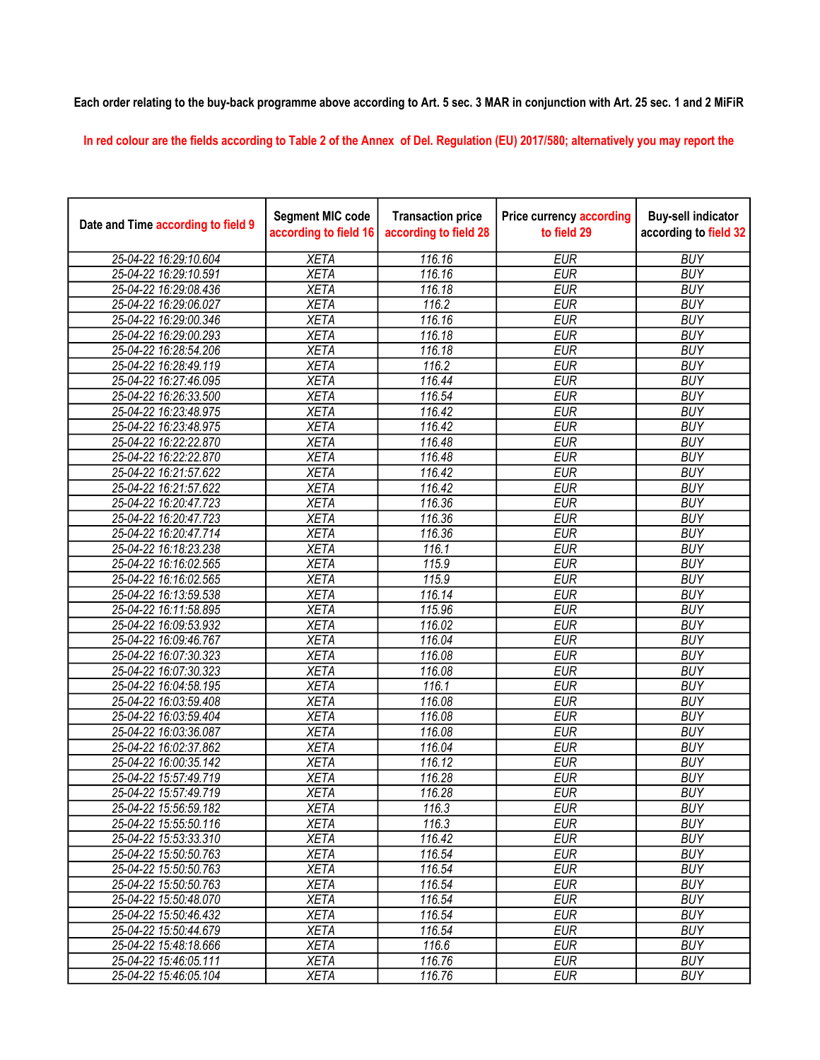## Each order relating to the buy-back programme above according to Art. 5 sec. 3 MAR in conjunction with Art. 25 sec. 1 and 2 MiFiR

In red colour are the fields according to Table 2 of the Annex of Del. Regulation (EU) 2017/580; alternatively you may report the

| Date and Time according to field 9 | <b>Segment MIC code</b><br>according to field 16 | <b>Transaction price</b><br>according to field 28 | <b>Price currency according</b><br>to field 29 | <b>Buy-sell indicator</b><br>according to field 32 |
|------------------------------------|--------------------------------------------------|---------------------------------------------------|------------------------------------------------|----------------------------------------------------|
| 25-04-22 16:29:10.604              | <b>XETA</b>                                      | 116.16                                            | <b>EUR</b>                                     | <b>BUY</b>                                         |
| 25-04-22 16:29:10.591              | <b>XETA</b>                                      | 116.16                                            | <b>EUR</b>                                     | <b>BUY</b>                                         |
| 25-04-22 16:29:08.436              | <b>XETA</b>                                      | 116.18                                            | <b>EUR</b>                                     | <b>BUY</b>                                         |
| 25-04-22 16:29:06.027              | <b>XETA</b>                                      | 116.2                                             | <b>EUR</b>                                     | <b>BUY</b>                                         |
| 25-04-22 16:29:00.346              | <b>XETA</b>                                      | 116.16                                            | <b>EUR</b>                                     | <b>BUY</b>                                         |
| 25-04-22 16:29:00.293              | <b>XETA</b>                                      | 116.18                                            | <b>EUR</b>                                     | <b>BUY</b>                                         |
| 25-04-22 16:28:54.206              | <b>XETA</b>                                      | 116.18                                            | <b>EUR</b>                                     | <b>BUY</b>                                         |
| 25-04-22 16:28:49.119              | <b>XETA</b>                                      | 116.2                                             | <b>EUR</b>                                     | <b>BUY</b>                                         |
| 25-04-22 16:27:46.095              | <b>XETA</b>                                      | 116.44                                            | <b>EUR</b>                                     | <b>BUY</b>                                         |
| 25-04-22 16:26:33.500              | <b>XETA</b>                                      | 116.54                                            | <b>EUR</b>                                     | <b>BUY</b>                                         |
| 25-04-22 16:23:48.975              | <b>XETA</b>                                      | 116.42                                            | <b>EUR</b>                                     | <b>BUY</b>                                         |
| 25-04-22 16:23:48.975              | <b>XETA</b>                                      | 116.42                                            | <b>EUR</b>                                     | <b>BUY</b>                                         |
| 25-04-22 16:22:22.870              | <b>XETA</b>                                      | 116.48                                            | <b>EUR</b>                                     | <b>BUY</b>                                         |
| 25-04-22 16:22:22.870              | <b>XETA</b>                                      | 116.48                                            | <b>EUR</b>                                     | <b>BUY</b>                                         |
| 25-04-22 16:21:57.622              | <b>XETA</b>                                      | 116.42                                            | <b>EUR</b>                                     | <b>BUY</b>                                         |
| 25-04-22 16:21:57.622              | <b>XETA</b>                                      | 116.42                                            | <b>EUR</b>                                     | <b>BUY</b>                                         |
| 25-04-22 16:20:47.723              | <b>XETA</b>                                      | 116.36                                            | <b>EUR</b>                                     | <b>BUY</b>                                         |
| 25-04-22 16:20:47.723              | <b>XETA</b>                                      | 116.36                                            | EUR                                            | <b>BUY</b>                                         |
| 25-04-22 16:20:47.714              | <b>XETA</b>                                      | 116.36                                            | <b>EUR</b>                                     | <b>BUY</b>                                         |
| 25-04-22 16:18:23.238              | <b>XETA</b>                                      | 116.1                                             | <b>EUR</b>                                     | <b>BUY</b>                                         |
| 25-04-22 16:16:02.565              | <b>XETA</b>                                      | 115.9                                             | <b>EUR</b>                                     | <b>BUY</b>                                         |
| 25-04-22 16:16:02.565              | <b>XETA</b>                                      | 115.9                                             | <b>EUR</b>                                     | <b>BUY</b>                                         |
| 25-04-22 16:13:59.538              | <b>XETA</b>                                      | 116.14                                            | <b>EUR</b>                                     | <b>BUY</b>                                         |
| 25-04-22 16:11:58.895              | <b>XETA</b>                                      | 115.96                                            | <b>EUR</b>                                     | <b>BUY</b>                                         |
| 25-04-22 16:09:53.932              | <b>XETA</b>                                      | 116.02                                            | <b>EUR</b>                                     | <b>BUY</b>                                         |
| 25-04-22 16:09:46.767              | <b>XETA</b>                                      | 116.04                                            | <b>EUR</b>                                     | <b>BUY</b>                                         |
| 25-04-22 16:07:30.323              | <b>XETA</b>                                      | 116.08                                            | <b>EUR</b>                                     | <b>BUY</b>                                         |
| 25-04-22 16:07:30.323              | <b>XETA</b>                                      | 116.08                                            | <b>EUR</b>                                     | <b>BUY</b>                                         |
| 25-04-22 16:04:58.195              | <b>XETA</b>                                      | 116.1                                             | <b>EUR</b>                                     | <b>BUY</b>                                         |
| 25-04-22 16:03:59.408              | <b>XETA</b>                                      | 116.08                                            | <b>EUR</b>                                     | <b>BUY</b>                                         |
| 25-04-22 16:03:59.404              | <b>XETA</b>                                      | 116.08                                            | <b>EUR</b>                                     | <b>BUY</b>                                         |
| 25-04-22 16:03:36.087              | <b>XETA</b>                                      | 116.08                                            | <b>EUR</b>                                     | <b>BUY</b>                                         |
| 25-04-22 16:02:37.862              | <b>XETA</b>                                      | 116.04                                            | <b>EUR</b>                                     | <b>BUY</b>                                         |
| 25-04-22 16:00:35.142              | <b>XETA</b>                                      | 116.12                                            | <b>EUR</b>                                     | <b>BUY</b>                                         |
| 25-04-22 15:57:49.719              | <b>XETA</b>                                      | 116.28                                            | <b>EUR</b>                                     | <b>BUY</b>                                         |
| 25-04-22 15:57:49.719              | <b>XETA</b>                                      | 116.28                                            | <b>EUR</b>                                     | <b>BUY</b>                                         |
| 25-04-22 15:56:59.182              | <b>XETA</b>                                      | 116.3                                             | <b>EUR</b>                                     | <b>BUY</b>                                         |
| 25-04-22 15:55:50.116              | <b>XETA</b>                                      | 116.3                                             | <b>EUR</b>                                     | <b>BUY</b>                                         |
| 25-04-22 15:53:33.310              | <b>XETA</b>                                      | 116.42                                            | <b>EUR</b>                                     | <b>BUY</b>                                         |
| 25-04-22 15:50:50.763              | <b>XETA</b>                                      | 116.54                                            | <b>EUR</b>                                     | <b>BUY</b>                                         |
| 25-04-22 15:50:50.763              | <b>XETA</b>                                      | 116.54                                            | <b>EUR</b>                                     | <b>BUY</b>                                         |
| 25-04-22 15:50:50.763              | <b>XETA</b>                                      | 116.54                                            | <b>EUR</b>                                     | <b>BUY</b>                                         |
| 25-04-22 15:50:48.070              | <b>XETA</b>                                      | 116.54                                            | <b>EUR</b>                                     | <b>BUY</b>                                         |
| 25-04-22 15:50:46.432              | <b>XETA</b>                                      | 116.54                                            | <b>EUR</b>                                     | <b>BUY</b>                                         |
| 25-04-22 15:50:44.679              | <b>XETA</b>                                      | 116.54                                            | <b>EUR</b>                                     | <b>BUY</b>                                         |
| 25-04-22 15:48:18.666              | <b>XETA</b>                                      | 116.6                                             | EUR                                            | <b>BUY</b>                                         |
| 25-04-22 15:46:05.111              | <b>XETA</b>                                      | 116.76                                            | EUR                                            | <b>BUY</b>                                         |
| 25-04-22 15:46:05.104              | <b>XETA</b>                                      | 116.76                                            | <b>EUR</b>                                     | <b>BUY</b>                                         |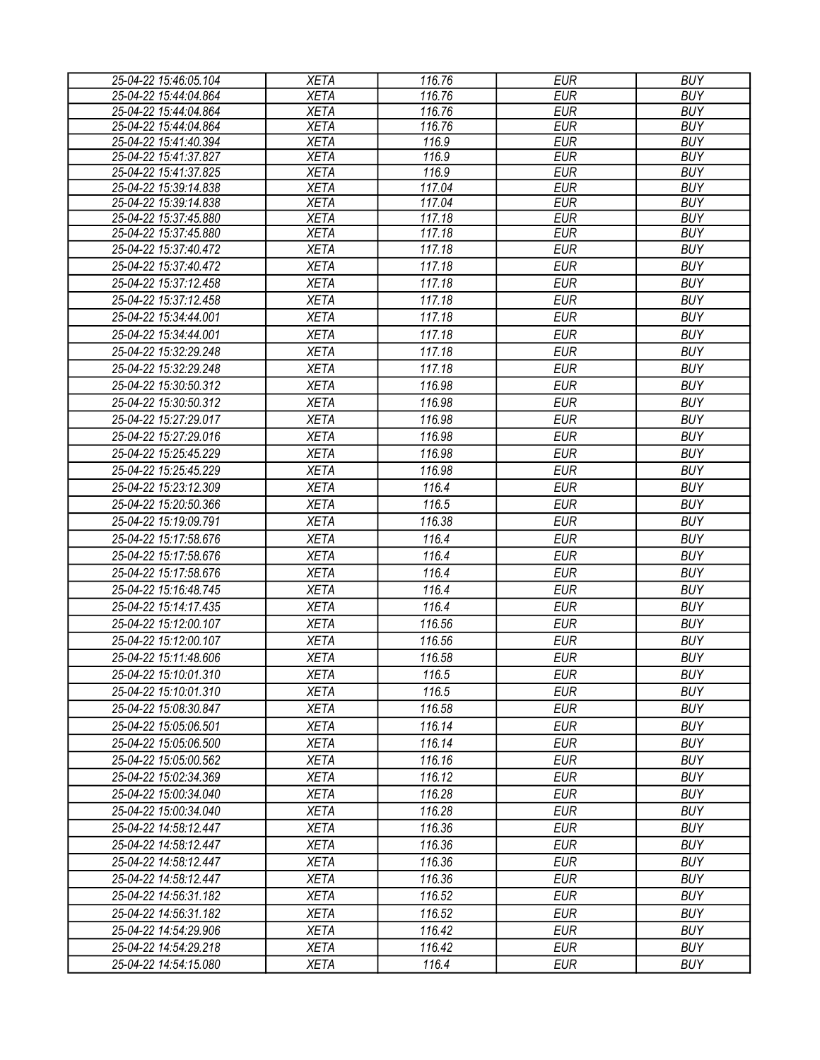| 25-04-22 15:46:05.104 | <b>XETA</b> | 116.76 | <b>EUR</b> | <b>BUY</b> |
|-----------------------|-------------|--------|------------|------------|
| 25-04-22 15:44:04.864 | <b>XETA</b> | 116.76 | <b>EUR</b> | <b>BUY</b> |
| 25-04-22 15:44:04.864 | <b>XETA</b> | 116.76 | <b>EUR</b> | <b>BUY</b> |
| 25-04-22 15:44:04.864 | <b>XETA</b> | 116.76 | <b>EUR</b> | <b>BUY</b> |
| 25-04-22 15:41:40.394 | <b>XETA</b> | 116.9  | <b>EUR</b> | <b>BUY</b> |
| 25-04-22 15:41:37.827 | <b>XETA</b> | 116.9  | <b>EUR</b> | <b>BUY</b> |
| 25-04-22 15:41:37.825 | <b>XETA</b> | 116.9  | <b>EUR</b> | <b>BUY</b> |
| 25-04-22 15:39:14.838 | <b>XETA</b> | 117.04 | <b>EUR</b> | <b>BUY</b> |
| 25-04-22 15:39:14.838 | <b>XETA</b> | 117.04 | <b>EUR</b> | <b>BUY</b> |
| 25-04-22 15:37:45.880 | <b>XETA</b> | 117.18 | <b>EUR</b> | <b>BUY</b> |
| 25-04-22 15:37:45.880 | <b>XETA</b> | 117.18 | <b>EUR</b> | <b>BUY</b> |
| 25-04-22 15:37:40.472 | <b>XETA</b> | 117.18 | <b>EUR</b> | <b>BUY</b> |
| 25-04-22 15:37:40.472 | <b>XETA</b> | 117.18 | <b>EUR</b> | <b>BUY</b> |
| 25-04-22 15:37:12.458 | <b>XETA</b> | 117.18 | <b>EUR</b> | <b>BUY</b> |
| 25-04-22 15:37:12.458 | <b>XETA</b> | 117.18 | <b>EUR</b> | <b>BUY</b> |
| 25-04-22 15:34:44.001 | <b>XETA</b> | 117.18 | <b>EUR</b> | <b>BUY</b> |
| 25-04-22 15:34:44.001 | <b>XETA</b> | 117.18 | <b>EUR</b> | <b>BUY</b> |
| 25-04-22 15:32:29.248 | <b>XETA</b> | 117.18 | <b>EUR</b> | <b>BUY</b> |
| 25-04-22 15:32:29.248 | <b>XETA</b> | 117.18 | <b>EUR</b> | <b>BUY</b> |
| 25-04-22 15:30:50.312 | <b>XETA</b> | 116.98 | <b>EUR</b> | <b>BUY</b> |
| 25-04-22 15:30:50.312 | <b>XETA</b> | 116.98 | <b>EUR</b> | <b>BUY</b> |
| 25-04-22 15:27:29.017 | <b>XETA</b> | 116.98 | <b>EUR</b> | <b>BUY</b> |
| 25-04-22 15:27:29.016 | <b>XETA</b> | 116.98 | <b>EUR</b> | <b>BUY</b> |
| 25-04-22 15:25:45.229 | <b>XETA</b> | 116.98 | <b>EUR</b> | <b>BUY</b> |
| 25-04-22 15:25:45.229 | <b>XETA</b> | 116.98 | <b>EUR</b> | <b>BUY</b> |
| 25-04-22 15:23:12.309 | <b>XETA</b> | 116.4  | <b>EUR</b> | <b>BUY</b> |
| 25-04-22 15:20:50.366 | <b>XETA</b> | 116.5  | <b>EUR</b> | <b>BUY</b> |
| 25-04-22 15:19:09.791 | <b>XETA</b> | 116.38 | <b>EUR</b> | <b>BUY</b> |
| 25-04-22 15:17:58.676 |             | 116.4  | <b>EUR</b> | <b>BUY</b> |
| 25-04-22 15:17:58.676 | <b>XETA</b> | 116.4  | <b>EUR</b> | <b>BUY</b> |
|                       | <b>XETA</b> |        |            |            |
| 25-04-22 15:17:58.676 | <b>XETA</b> | 116.4  | <b>EUR</b> | <b>BUY</b> |
| 25-04-22 15:16:48.745 | <b>XETA</b> | 116.4  | <b>EUR</b> | <b>BUY</b> |
| 25-04-22 15:14:17.435 | <b>XETA</b> | 116.4  | <b>EUR</b> | <b>BUY</b> |
| 25-04-22 15:12:00.107 | <b>XETA</b> | 116.56 | <b>EUR</b> | <b>BUY</b> |
| 25-04-22 15:12:00.107 | <b>XETA</b> | 116.56 | <b>EUR</b> | <b>BUY</b> |
| 25-04-22 15:11:48.606 | <b>XETA</b> | 116.58 | <b>EUR</b> | <b>BUY</b> |
| 25-04-22 15:10:01.310 | <b>XETA</b> | 116.5  | <b>EUR</b> | <b>BUY</b> |
| 25-04-22 15:10:01.310 | <b>XETA</b> | 116.5  | <b>EUR</b> | <b>BUY</b> |
| 25-04-22 15:08:30.847 | <b>XETA</b> | 116.58 | <b>EUR</b> | <b>BUY</b> |
| 25-04-22 15:05:06.501 | <b>XETA</b> | 116.14 | <b>EUR</b> | <b>BUY</b> |
| 25-04-22 15:05:06.500 | <b>XETA</b> | 116.14 | <b>EUR</b> | <b>BUY</b> |
| 25-04-22 15:05:00.562 | <b>XETA</b> | 116.16 | <b>EUR</b> | <b>BUY</b> |
| 25-04-22 15:02:34.369 | <b>XETA</b> | 116.12 | <b>EUR</b> | <b>BUY</b> |
| 25-04-22 15:00:34.040 | <b>XETA</b> | 116.28 | <b>EUR</b> | <b>BUY</b> |
| 25-04-22 15:00:34.040 | <b>XETA</b> | 116.28 | <b>EUR</b> | <b>BUY</b> |
| 25-04-22 14:58:12.447 | <b>XETA</b> | 116.36 | <b>EUR</b> | <b>BUY</b> |
| 25-04-22 14:58:12.447 | <b>XETA</b> | 116.36 | <b>EUR</b> | <b>BUY</b> |
| 25-04-22 14:58:12.447 | <b>XETA</b> | 116.36 | <b>EUR</b> | <b>BUY</b> |
| 25-04-22 14:58:12.447 | <b>XETA</b> | 116.36 | <b>EUR</b> | <b>BUY</b> |
| 25-04-22 14:56:31.182 | <b>XETA</b> | 116.52 | <b>EUR</b> | <b>BUY</b> |
| 25-04-22 14:56:31.182 | <b>XETA</b> | 116.52 | <b>EUR</b> | <b>BUY</b> |
|                       |             | 116.42 | <b>EUR</b> | <b>BUY</b> |
| 25-04-22 14:54:29.906 | <b>XETA</b> |        |            |            |
| 25-04-22 14:54:29.218 | <b>XETA</b> | 116.42 | <b>EUR</b> | <b>BUY</b> |
| 25-04-22 14:54:15.080 | <b>XETA</b> | 116.4  | <b>EUR</b> | <b>BUY</b> |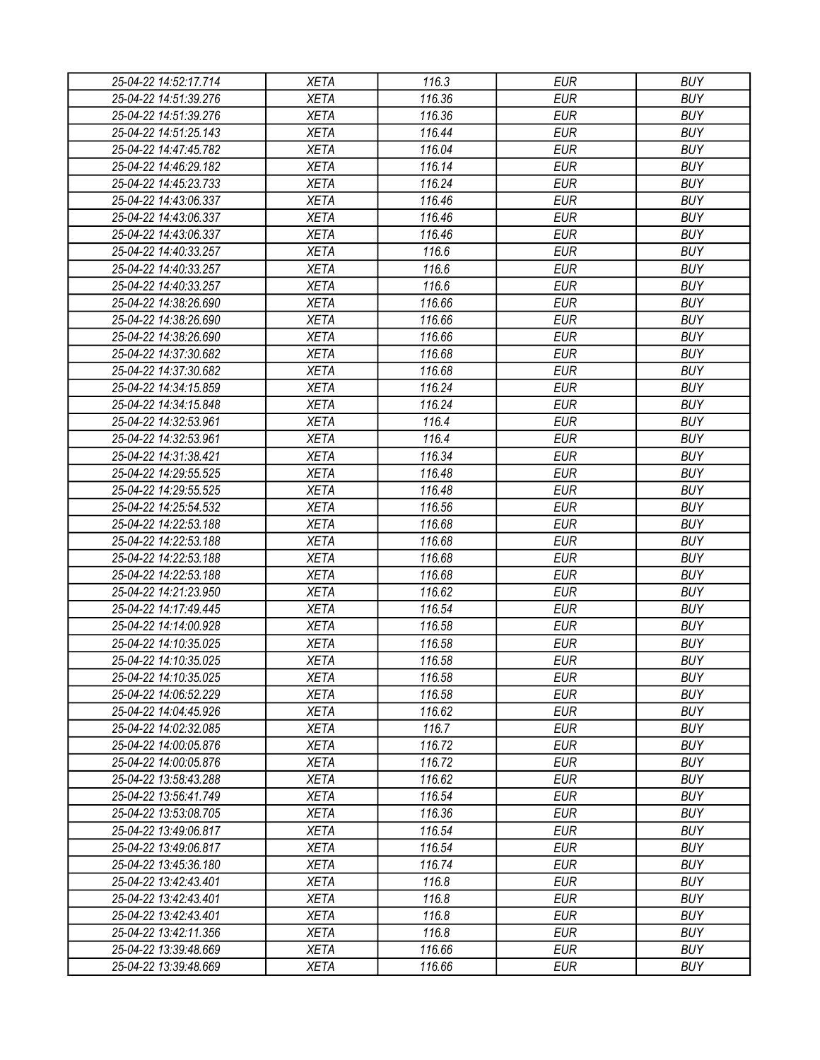| 25-04-22 14:52:17.714                          | <b>XETA</b>                | 116.3  | <b>EUR</b> | <b>BUY</b> |
|------------------------------------------------|----------------------------|--------|------------|------------|
| 25-04-22 14:51:39.276                          | <b>XETA</b>                | 116.36 | <b>EUR</b> | <b>BUY</b> |
| 25-04-22 14:51:39.276                          | <b>XETA</b>                | 116.36 | <b>EUR</b> | <b>BUY</b> |
| 25-04-22 14:51:25.143                          | <b>XETA</b>                | 116.44 | <b>EUR</b> | <b>BUY</b> |
| 25-04-22 14:47:45.782                          | <b>XETA</b>                | 116.04 | <b>EUR</b> | <b>BUY</b> |
| 25-04-22 14:46:29.182                          | <b>XETA</b>                | 116.14 | <b>EUR</b> | <b>BUY</b> |
| 25-04-22 14:45:23.733                          | <b>XETA</b>                | 116.24 | <b>EUR</b> | <b>BUY</b> |
| 25-04-22 14:43:06.337                          | <b>XETA</b>                | 116.46 | <b>EUR</b> | <b>BUY</b> |
| 25-04-22 14:43:06.337                          | <b>XETA</b>                | 116.46 | <b>EUR</b> | <b>BUY</b> |
| 25-04-22 14:43:06.337                          | <b>XETA</b>                | 116.46 | <b>EUR</b> | <b>BUY</b> |
| 25-04-22 14:40:33.257                          | <b>XETA</b>                | 116.6  | <b>EUR</b> | <b>BUY</b> |
| 25-04-22 14:40:33.257                          | <b>XETA</b>                | 116.6  | <b>EUR</b> | <b>BUY</b> |
| 25-04-22 14:40:33.257                          | <b>XETA</b>                | 116.6  | <b>EUR</b> | <b>BUY</b> |
| 25-04-22 14:38:26.690                          | <b>XETA</b>                | 116.66 | <b>EUR</b> | <b>BUY</b> |
| 25-04-22 14:38:26.690                          | <b>XETA</b>                | 116.66 | <b>EUR</b> | <b>BUY</b> |
| 25-04-22 14:38:26.690                          | <b>XETA</b>                | 116.66 | <b>EUR</b> | <b>BUY</b> |
| 25-04-22 14:37:30.682                          | <b>XETA</b>                | 116.68 | <b>EUR</b> | <b>BUY</b> |
| 25-04-22 14:37:30.682                          | <b>XETA</b>                | 116.68 | <b>EUR</b> | <b>BUY</b> |
| 25-04-22 14:34:15.859                          | <b>XETA</b>                | 116.24 | <b>EUR</b> | <b>BUY</b> |
| 25-04-22 14:34:15.848                          | <b>XETA</b>                | 116.24 | <b>EUR</b> | <b>BUY</b> |
| 25-04-22 14:32:53.961                          | <b>XETA</b>                | 116.4  | <b>EUR</b> | <b>BUY</b> |
| 25-04-22 14:32:53.961                          | <b>XETA</b>                | 116.4  | <b>EUR</b> | <b>BUY</b> |
| 25-04-22 14:31:38.421                          | <b>XETA</b>                | 116.34 | <b>EUR</b> | <b>BUY</b> |
| 25-04-22 14:29:55.525                          | <b>XETA</b>                | 116.48 | <b>EUR</b> | <b>BUY</b> |
| 25-04-22 14:29:55.525                          | <b>XETA</b>                | 116.48 | <b>EUR</b> | <b>BUY</b> |
| 25-04-22 14:25:54.532                          | <b>XETA</b>                | 116.56 | <b>EUR</b> | <b>BUY</b> |
| 25-04-22 14:22:53.188                          | <b>XETA</b>                | 116.68 | <b>EUR</b> | <b>BUY</b> |
| 25-04-22 14:22:53.188                          | <b>XETA</b>                | 116.68 | <b>EUR</b> | <b>BUY</b> |
| 25-04-22 14:22:53.188                          | <b>XETA</b>                | 116.68 | <b>EUR</b> | <b>BUY</b> |
| 25-04-22 14:22:53.188                          | <b>XETA</b>                | 116.68 | <b>EUR</b> | <b>BUY</b> |
| 25-04-22 14:21:23.950                          | <b>XETA</b>                | 116.62 | <b>EUR</b> | <b>BUY</b> |
| 25-04-22 14:17:49.445                          | <b>XETA</b>                | 116.54 | <b>EUR</b> | <b>BUY</b> |
| 25-04-22 14:14:00.928                          | <b>XETA</b>                | 116.58 | <b>EUR</b> | <b>BUY</b> |
| 25-04-22 14:10:35.025                          | <b>XETA</b>                | 116.58 | <b>EUR</b> | <b>BUY</b> |
| 25-04-22 14:10:35.025                          | <b>XETA</b>                | 116.58 | <b>EUR</b> | <b>BUY</b> |
| 25-04-22 14:10:35.025                          | <b>XETA</b>                | 116.58 | <b>EUR</b> | <b>BUY</b> |
|                                                |                            | 116.58 | <b>EUR</b> | <b>BUY</b> |
| 25-04-22 14:06:52.229                          | <b>XETA</b><br><b>XETA</b> | 116.62 | <b>EUR</b> | <b>BUY</b> |
| 25-04-22 14:04:45.926<br>25-04-22 14:02:32.085 | <b>XETA</b>                | 116.7  | <b>EUR</b> | <b>BUY</b> |
|                                                |                            |        |            |            |
| 25-04-22 14:00:05.876                          | <b>XETA</b>                | 116.72 | <b>EUR</b> | <b>BUY</b> |
| 25-04-22 14:00:05.876                          | <b>XETA</b>                | 116.72 | <b>EUR</b> | <b>BUY</b> |
| 25-04-22 13:58:43.288                          | <b>XETA</b>                | 116.62 | <b>EUR</b> | <b>BUY</b> |
| 25-04-22 13:56:41.749                          | <b>XETA</b>                | 116.54 | <b>EUR</b> | <b>BUY</b> |
| 25-04-22 13:53:08.705                          | <b>XETA</b>                | 116.36 | <b>EUR</b> | <b>BUY</b> |
| 25-04-22 13:49:06.817                          | <b>XETA</b>                | 116.54 | <b>EUR</b> | <b>BUY</b> |
| 25-04-22 13:49:06.817                          | <b>XETA</b>                | 116.54 | <b>EUR</b> | <b>BUY</b> |
| 25-04-22 13:45:36.180                          | <b>XETA</b>                | 116.74 | <b>EUR</b> | <b>BUY</b> |
| 25-04-22 13:42:43.401                          | <b>XETA</b>                | 116.8  | <b>EUR</b> | <b>BUY</b> |
| 25-04-22 13:42:43.401                          | <b>XETA</b>                | 116.8  | <b>EUR</b> | <b>BUY</b> |
| 25-04-22 13:42:43.401                          | <b>XETA</b>                | 116.8  | <b>EUR</b> | <b>BUY</b> |
| 25-04-22 13:42:11.356                          | <b>XETA</b>                | 116.8  | <b>EUR</b> | <b>BUY</b> |
| 25-04-22 13:39:48.669                          | XETA                       | 116.66 | <b>EUR</b> | <b>BUY</b> |
| 25-04-22 13:39:48.669                          | <b>XETA</b>                | 116.66 | <b>EUR</b> | <b>BUY</b> |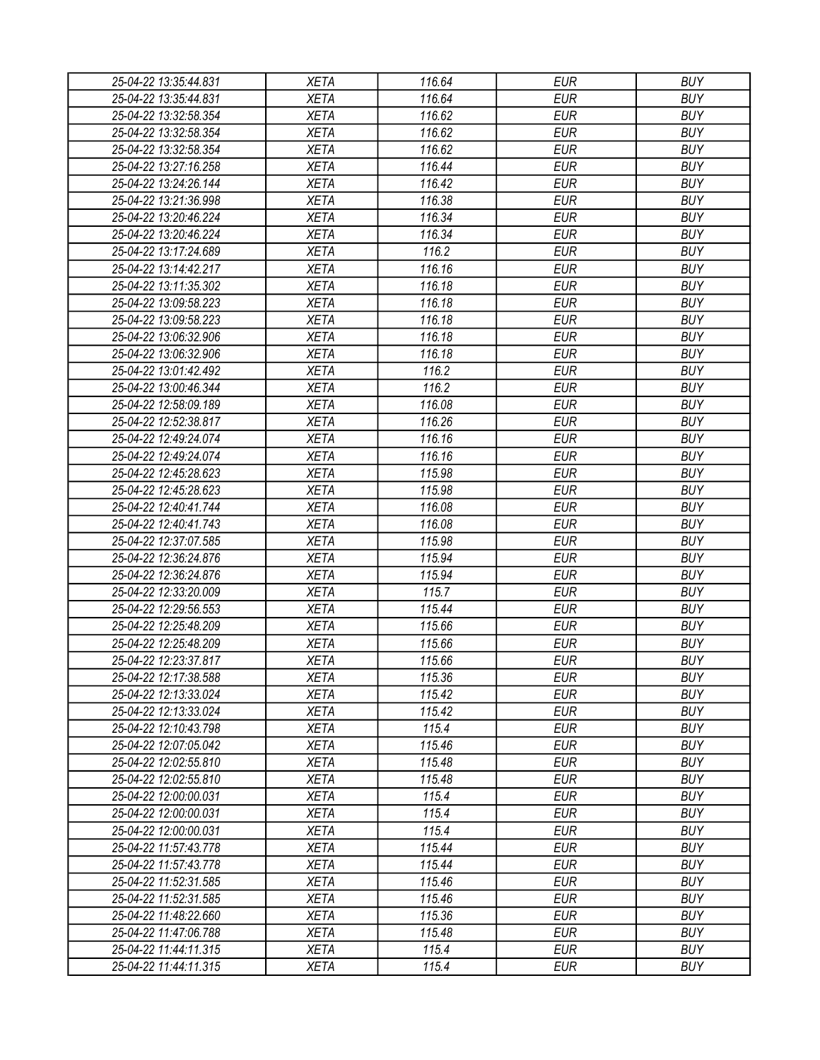| 25-04-22 13:35:44.831                          | <b>XETA</b> | 116.64 | <b>EUR</b> | <b>BUY</b> |
|------------------------------------------------|-------------|--------|------------|------------|
| 25-04-22 13:35:44.831                          | <b>XETA</b> | 116.64 | <b>EUR</b> | <b>BUY</b> |
| 25-04-22 13:32:58.354                          | <b>XETA</b> | 116.62 | <b>EUR</b> | <b>BUY</b> |
| 25-04-22 13:32:58.354                          | <b>XETA</b> | 116.62 | <b>EUR</b> | <b>BUY</b> |
| 25-04-22 13:32:58.354                          | <b>XETA</b> | 116.62 | <b>EUR</b> | <b>BUY</b> |
| 25-04-22 13:27:16.258                          | <b>XETA</b> | 116.44 | <b>EUR</b> | <b>BUY</b> |
| 25-04-22 13:24:26.144                          | <b>XETA</b> | 116.42 | <b>EUR</b> | <b>BUY</b> |
| 25-04-22 13:21:36.998                          | <b>XETA</b> | 116.38 | <b>EUR</b> | <b>BUY</b> |
| 25-04-22 13:20:46.224                          | <b>XETA</b> | 116.34 | <b>EUR</b> | <b>BUY</b> |
| 25-04-22 13:20:46.224                          | <b>XETA</b> | 116.34 | <b>EUR</b> | <b>BUY</b> |
| 25-04-22 13:17:24.689                          | <b>XETA</b> | 116.2  | <b>EUR</b> | <b>BUY</b> |
| 25-04-22 13:14:42.217                          | <b>XETA</b> | 116.16 | <b>EUR</b> | <b>BUY</b> |
| 25-04-22 13:11:35.302                          | <b>XETA</b> | 116.18 | <b>EUR</b> | <b>BUY</b> |
| 25-04-22 13:09:58.223                          | <b>XETA</b> | 116.18 | <b>EUR</b> | <b>BUY</b> |
| 25-04-22 13:09:58.223                          | <b>XETA</b> | 116.18 | <b>EUR</b> | <b>BUY</b> |
| 25-04-22 13:06:32.906                          | <b>XETA</b> | 116.18 | <b>EUR</b> | <b>BUY</b> |
| 25-04-22 13:06:32.906                          | <b>XETA</b> | 116.18 | <b>EUR</b> | <b>BUY</b> |
| 25-04-22 13:01:42.492                          | <b>XETA</b> | 116.2  | <b>EUR</b> | <b>BUY</b> |
| 25-04-22 13:00:46.344                          | <b>XETA</b> | 116.2  | <b>EUR</b> | <b>BUY</b> |
| 25-04-22 12:58:09.189                          | <b>XETA</b> | 116.08 | <b>EUR</b> | <b>BUY</b> |
| 25-04-22 12:52:38.817                          | <b>XETA</b> | 116.26 | <b>EUR</b> | <b>BUY</b> |
| 25-04-22 12:49:24.074                          | <b>XETA</b> | 116.16 | <b>EUR</b> | <b>BUY</b> |
| 25-04-22 12:49:24.074                          | <b>XETA</b> | 116.16 | <b>EUR</b> | <b>BUY</b> |
| 25-04-22 12:45:28.623                          | <b>XETA</b> | 115.98 | <b>EUR</b> | <b>BUY</b> |
| 25-04-22 12:45:28.623                          | <b>XETA</b> | 115.98 | <b>EUR</b> | <b>BUY</b> |
| 25-04-22 12:40:41.744                          | <b>XETA</b> | 116.08 | <b>EUR</b> | <b>BUY</b> |
| 25-04-22 12:40:41.743                          | <b>XETA</b> | 116.08 | <b>EUR</b> | <b>BUY</b> |
| 25-04-22 12:37:07.585                          | <b>XETA</b> | 115.98 | <b>EUR</b> | <b>BUY</b> |
| 25-04-22 12:36:24.876                          | <b>XETA</b> | 115.94 | <b>EUR</b> | <b>BUY</b> |
| 25-04-22 12:36:24.876                          | <b>XETA</b> | 115.94 | <b>EUR</b> | <b>BUY</b> |
| 25-04-22 12:33:20.009                          | <b>XETA</b> | 115.7  | <b>EUR</b> | <b>BUY</b> |
| 25-04-22 12:29:56.553                          | <b>XETA</b> | 115.44 | <b>EUR</b> | <b>BUY</b> |
| 25-04-22 12:25:48.209                          | <b>XETA</b> | 115.66 | <b>EUR</b> | <b>BUY</b> |
| 25-04-22 12:25:48.209                          | <b>XETA</b> | 115.66 | <b>EUR</b> | <b>BUY</b> |
| 25-04-22 12:23:37.817                          | <b>XETA</b> | 115.66 | <b>EUR</b> | <b>BUY</b> |
|                                                |             | 115.36 | <b>EUR</b> | <b>BUY</b> |
| 25-04-22 12:17:38.588<br>25-04-22 12:13:33.024 | <b>XETA</b> | 115.42 | <b>EUR</b> | <b>BUY</b> |
|                                                | <b>XETA</b> |        |            | <b>BUY</b> |
| 25-04-22 12:13:33.024                          | <b>XETA</b> | 115.42 | <b>EUR</b> |            |
| 25-04-22 12:10:43.798                          | <b>XETA</b> | 115.4  | <b>EUR</b> | <b>BUY</b> |
| 25-04-22 12:07:05.042                          | <b>XETA</b> | 115.46 | <b>EUR</b> | <b>BUY</b> |
| 25-04-22 12:02:55.810                          | <b>XETA</b> | 115.48 | <b>EUR</b> | <b>BUY</b> |
| 25-04-22 12:02:55.810                          | <b>XETA</b> | 115.48 | <b>EUR</b> | <b>BUY</b> |
| 25-04-22 12:00:00.031                          | <b>XETA</b> | 115.4  | <b>EUR</b> | <b>BUY</b> |
| 25-04-22 12:00:00.031                          | <b>XETA</b> | 115.4  | <b>EUR</b> | <b>BUY</b> |
| 25-04-22 12:00:00.031                          | <b>XETA</b> | 115.4  | <b>EUR</b> | <b>BUY</b> |
| 25-04-22 11:57:43.778                          | <b>XETA</b> | 115.44 | <b>EUR</b> | <b>BUY</b> |
| 25-04-22 11:57:43.778                          | <b>XETA</b> | 115.44 | <b>EUR</b> | <b>BUY</b> |
| 25-04-22 11:52:31.585                          | <b>XETA</b> | 115.46 | <b>EUR</b> | <b>BUY</b> |
| 25-04-22 11:52:31.585                          | <b>XETA</b> | 115.46 | <b>EUR</b> | <b>BUY</b> |
| 25-04-22 11:48:22.660                          | <b>XETA</b> | 115.36 | <b>EUR</b> | <b>BUY</b> |
| 25-04-22 11:47:06.788                          | <b>XETA</b> | 115.48 | <b>EUR</b> | <b>BUY</b> |
| 25-04-22 11:44:11.315                          | XETA        | 115.4  | <b>EUR</b> | <b>BUY</b> |
| 25-04-22 11:44:11.315                          | XETA        | 115.4  | <b>EUR</b> | <b>BUY</b> |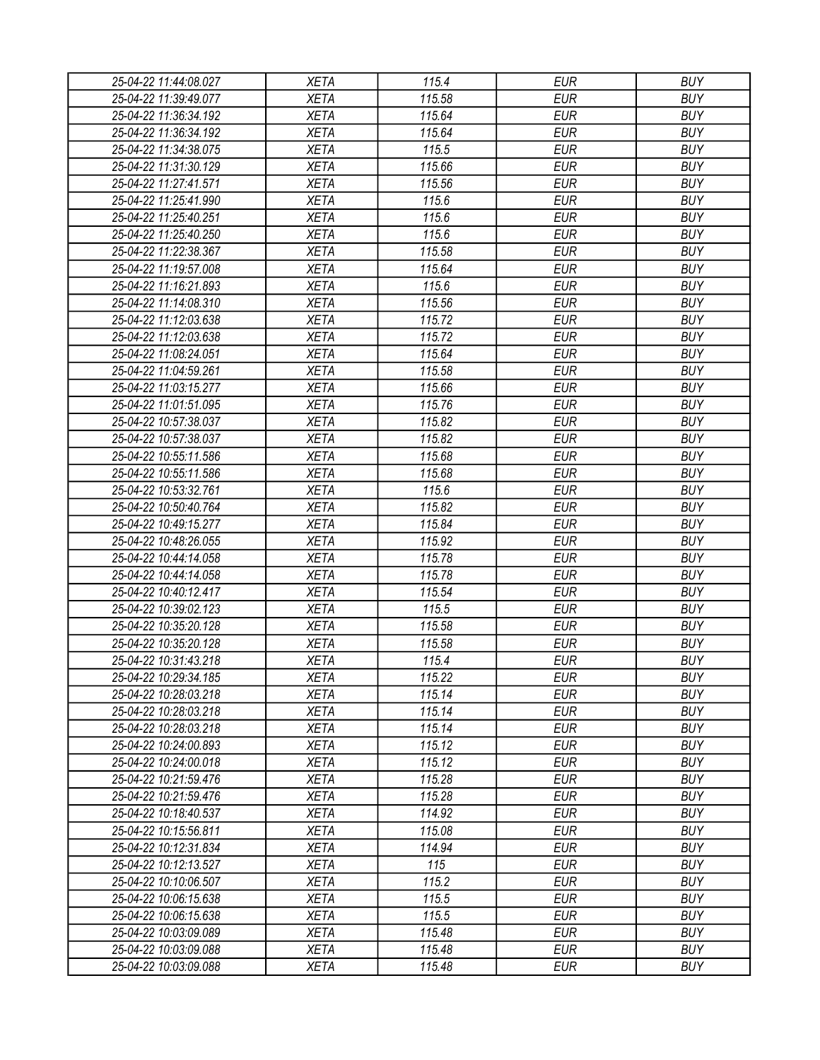| 25-04-22 11:44:08.027 | <b>XETA</b> | 115.4  | <b>EUR</b> | <b>BUY</b> |
|-----------------------|-------------|--------|------------|------------|
| 25-04-22 11:39:49.077 | <b>XETA</b> | 115.58 | <b>EUR</b> | <b>BUY</b> |
| 25-04-22 11:36:34.192 | <b>XETA</b> | 115.64 | <b>EUR</b> | <b>BUY</b> |
| 25-04-22 11:36:34.192 | <b>XETA</b> | 115.64 | <b>EUR</b> | <b>BUY</b> |
| 25-04-22 11:34:38.075 | <b>XETA</b> | 115.5  | <b>EUR</b> | <b>BUY</b> |
| 25-04-22 11:31:30.129 | <b>XETA</b> | 115.66 | <b>EUR</b> | <b>BUY</b> |
| 25-04-22 11:27:41.571 | <b>XETA</b> | 115.56 | <b>EUR</b> | <b>BUY</b> |
| 25-04-22 11:25:41.990 | <b>XETA</b> | 115.6  | <b>EUR</b> | <b>BUY</b> |
| 25-04-22 11:25:40.251 | <b>XETA</b> | 115.6  | <b>EUR</b> | <b>BUY</b> |
| 25-04-22 11:25:40.250 | <b>XETA</b> | 115.6  | <b>EUR</b> | <b>BUY</b> |
| 25-04-22 11:22:38.367 | <b>XETA</b> | 115.58 | <b>EUR</b> | <b>BUY</b> |
| 25-04-22 11:19:57.008 | <b>XETA</b> | 115.64 | <b>EUR</b> | <b>BUY</b> |
| 25-04-22 11:16:21.893 | <b>XETA</b> | 115.6  | <b>EUR</b> | <b>BUY</b> |
| 25-04-22 11:14:08.310 | <b>XETA</b> | 115.56 | <b>EUR</b> | <b>BUY</b> |
| 25-04-22 11:12:03.638 | <b>XETA</b> | 115.72 | <b>EUR</b> | <b>BUY</b> |
| 25-04-22 11:12:03.638 | <b>XETA</b> | 115.72 | <b>EUR</b> | <b>BUY</b> |
| 25-04-22 11:08:24.051 | <b>XETA</b> | 115.64 | <b>EUR</b> | <b>BUY</b> |
| 25-04-22 11:04:59.261 | <b>XETA</b> | 115.58 | <b>EUR</b> | <b>BUY</b> |
| 25-04-22 11:03:15.277 | <b>XETA</b> | 115.66 | <b>EUR</b> | <b>BUY</b> |
| 25-04-22 11:01:51.095 | <b>XETA</b> | 115.76 | <b>EUR</b> | <b>BUY</b> |
| 25-04-22 10:57:38.037 | <b>XETA</b> | 115.82 | <b>EUR</b> | <b>BUY</b> |
| 25-04-22 10:57:38.037 | <b>XETA</b> | 115.82 | <b>EUR</b> | <b>BUY</b> |
| 25-04-22 10:55:11.586 | <b>XETA</b> | 115.68 | <b>EUR</b> | <b>BUY</b> |
| 25-04-22 10:55:11.586 | <b>XETA</b> | 115.68 | <b>EUR</b> | <b>BUY</b> |
| 25-04-22 10:53:32.761 | <b>XETA</b> | 115.6  | <b>EUR</b> | <b>BUY</b> |
| 25-04-22 10:50:40.764 | <b>XETA</b> | 115.82 | <b>EUR</b> | <b>BUY</b> |
| 25-04-22 10:49:15.277 | <b>XETA</b> | 115.84 | <b>EUR</b> | <b>BUY</b> |
| 25-04-22 10:48:26.055 | <b>XETA</b> | 115.92 | <b>EUR</b> | <b>BUY</b> |
| 25-04-22 10:44:14.058 | <b>XETA</b> | 115.78 | <b>EUR</b> | <b>BUY</b> |
| 25-04-22 10:44:14.058 | <b>XETA</b> | 115.78 | <b>EUR</b> | <b>BUY</b> |
| 25-04-22 10:40:12.417 | <b>XETA</b> | 115.54 | <b>EUR</b> | <b>BUY</b> |
| 25-04-22 10:39:02.123 | <b>XETA</b> | 115.5  | <b>EUR</b> | <b>BUY</b> |
| 25-04-22 10:35:20.128 | <b>XETA</b> | 115.58 | <b>EUR</b> | <b>BUY</b> |
| 25-04-22 10:35:20.128 | <b>XETA</b> | 115.58 | <b>EUR</b> | <b>BUY</b> |
| 25-04-22 10:31:43.218 | <b>XETA</b> | 115.4  | <b>EUR</b> | <b>BUY</b> |
| 25-04-22 10:29:34.185 | <b>XETA</b> | 115.22 | <b>EUR</b> | <b>BUY</b> |
| 25-04-22 10:28:03.218 | <b>XETA</b> | 115.14 | <b>EUR</b> | <b>BUY</b> |
| 25-04-22 10:28:03.218 | <b>XETA</b> | 115.14 | <b>EUR</b> | <b>BUY</b> |
| 25-04-22 10:28:03.218 | XETA        | 115.14 | <b>EUR</b> | <b>BUY</b> |
| 25-04-22 10:24:00.893 | <b>XETA</b> | 115.12 | <b>EUR</b> | <b>BUY</b> |
| 25-04-22 10:24:00.018 | <b>XETA</b> | 115.12 | <b>EUR</b> | <b>BUY</b> |
| 25-04-22 10:21:59.476 | <b>XETA</b> | 115.28 | <b>EUR</b> | <b>BUY</b> |
| 25-04-22 10:21:59.476 | XETA        | 115.28 | <b>EUR</b> | <b>BUY</b> |
| 25-04-22 10:18:40.537 | <b>XETA</b> | 114.92 | <b>EUR</b> | <b>BUY</b> |
| 25-04-22 10:15:56.811 | <b>XETA</b> | 115.08 | <b>EUR</b> | <b>BUY</b> |
| 25-04-22 10:12:31.834 | <b>XETA</b> | 114.94 | <b>EUR</b> | <b>BUY</b> |
| 25-04-22 10:12:13.527 | <b>XETA</b> | 115    | <b>EUR</b> | <b>BUY</b> |
| 25-04-22 10:10:06.507 | <b>XETA</b> | 115.2  | <b>EUR</b> | <b>BUY</b> |
| 25-04-22 10:06:15.638 | <b>XETA</b> | 115.5  | <b>EUR</b> | <b>BUY</b> |
| 25-04-22 10:06:15.638 | <b>XETA</b> | 115.5  | <b>EUR</b> | <b>BUY</b> |
| 25-04-22 10:03:09.089 | <b>XETA</b> | 115.48 | <b>EUR</b> | <b>BUY</b> |
| 25-04-22 10:03:09.088 | <b>XETA</b> | 115.48 | <b>EUR</b> | <b>BUY</b> |
| 25-04-22 10:03:09.088 | <b>XETA</b> | 115.48 | <b>EUR</b> | <b>BUY</b> |
|                       |             |        |            |            |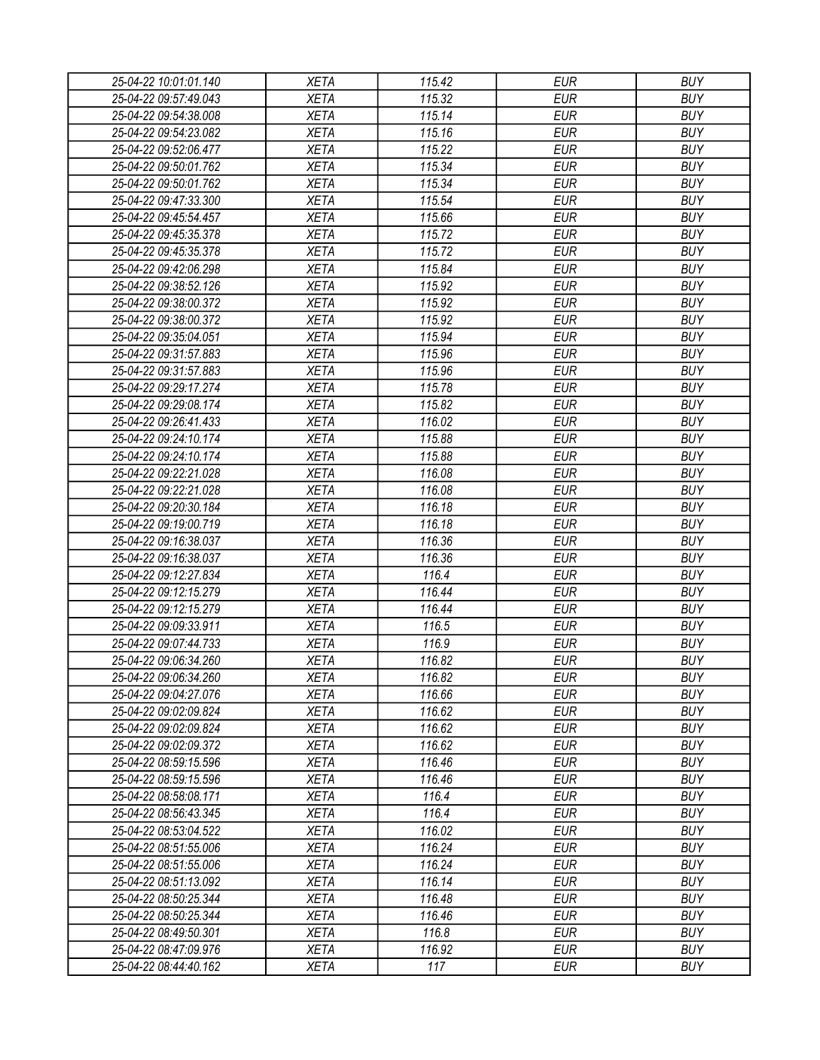| 25-04-22 10:01:01.140 | <b>XETA</b> | 115.42 | <b>EUR</b> | <b>BUY</b> |
|-----------------------|-------------|--------|------------|------------|
| 25-04-22 09:57:49.043 | <b>XETA</b> | 115.32 | <b>EUR</b> | <b>BUY</b> |
| 25-04-22 09:54:38.008 | <b>XETA</b> | 115.14 | <b>EUR</b> | <b>BUY</b> |
| 25-04-22 09:54:23.082 | <b>XETA</b> | 115.16 | <b>EUR</b> | <b>BUY</b> |
| 25-04-22 09:52:06.477 | <b>XETA</b> | 115.22 | <b>EUR</b> | <b>BUY</b> |
| 25-04-22 09:50:01.762 | <b>XETA</b> | 115.34 | <b>EUR</b> | <b>BUY</b> |
| 25-04-22 09:50:01.762 | <b>XETA</b> | 115.34 | <b>EUR</b> | <b>BUY</b> |
| 25-04-22 09:47:33.300 | <b>XETA</b> | 115.54 | <b>EUR</b> | <b>BUY</b> |
| 25-04-22 09:45:54.457 | <b>XETA</b> | 115.66 | <b>EUR</b> | <b>BUY</b> |
| 25-04-22 09:45:35.378 | <b>XETA</b> | 115.72 | <b>EUR</b> | <b>BUY</b> |
| 25-04-22 09:45:35.378 | <b>XETA</b> | 115.72 | <b>EUR</b> | <b>BUY</b> |
| 25-04-22 09:42:06.298 | <b>XETA</b> | 115.84 | <b>EUR</b> | <b>BUY</b> |
| 25-04-22 09:38:52.126 | <b>XETA</b> | 115.92 | <b>EUR</b> | <b>BUY</b> |
| 25-04-22 09:38:00.372 | <b>XETA</b> | 115.92 | <b>EUR</b> | <b>BUY</b> |
| 25-04-22 09:38:00.372 | <b>XETA</b> | 115.92 | <b>EUR</b> | <b>BUY</b> |
| 25-04-22 09:35:04.051 | <b>XETA</b> | 115.94 | <b>EUR</b> | <b>BUY</b> |
| 25-04-22 09:31:57.883 | <b>XETA</b> | 115.96 | <b>EUR</b> | <b>BUY</b> |
| 25-04-22 09:31:57.883 | <b>XETA</b> | 115.96 | <b>EUR</b> | <b>BUY</b> |
| 25-04-22 09:29:17.274 | <b>XETA</b> | 115.78 | <b>EUR</b> | <b>BUY</b> |
| 25-04-22 09:29:08.174 | <b>XETA</b> | 115.82 | <b>EUR</b> | <b>BUY</b> |
| 25-04-22 09:26:41.433 | <b>XETA</b> | 116.02 | <b>EUR</b> | <b>BUY</b> |
|                       | <b>XETA</b> |        |            |            |
| 25-04-22 09:24:10.174 |             | 115.88 | <b>EUR</b> | <b>BUY</b> |
| 25-04-22 09:24:10.174 | <b>XETA</b> | 115.88 | <b>EUR</b> | <b>BUY</b> |
| 25-04-22 09:22:21.028 | <b>XETA</b> | 116.08 | <b>EUR</b> | <b>BUY</b> |
| 25-04-22 09:22:21.028 | <b>XETA</b> | 116.08 | <b>EUR</b> | <b>BUY</b> |
| 25-04-22 09:20:30.184 | <b>XETA</b> | 116.18 | <b>EUR</b> | <b>BUY</b> |
| 25-04-22 09:19:00.719 | <b>XETA</b> | 116.18 | <b>EUR</b> | <b>BUY</b> |
| 25-04-22 09:16:38.037 | <b>XETA</b> | 116.36 | <b>EUR</b> | <b>BUY</b> |
| 25-04-22 09:16:38.037 | <b>XETA</b> | 116.36 | <b>EUR</b> | <b>BUY</b> |
| 25-04-22 09:12:27.834 | <b>XETA</b> | 116.4  | <b>EUR</b> | <b>BUY</b> |
| 25-04-22 09:12:15.279 | <b>XETA</b> | 116.44 | <b>EUR</b> | <b>BUY</b> |
| 25-04-22 09:12:15.279 | <b>XETA</b> | 116.44 | <b>EUR</b> | <b>BUY</b> |
| 25-04-22 09:09:33.911 | <b>XETA</b> | 116.5  | <b>EUR</b> | <b>BUY</b> |
| 25-04-22 09:07:44.733 | <b>XETA</b> | 116.9  | <b>EUR</b> | <b>BUY</b> |
| 25-04-22 09:06:34.260 | <b>XETA</b> | 116.82 | <b>EUR</b> | <b>BUY</b> |
| 25-04-22 09:06:34.260 | <b>XETA</b> | 116.82 | <b>EUR</b> | <b>BUY</b> |
| 25-04-22 09:04:27.076 | <b>XETA</b> | 116.66 | <b>EUR</b> | <b>BUY</b> |
| 25-04-22 09:02:09.824 | <b>XETA</b> | 116.62 | <b>EUR</b> | <b>BUY</b> |
| 25-04-22 09:02:09.824 | <b>XETA</b> | 116.62 | <b>EUR</b> | <b>BUY</b> |
| 25-04-22 09:02:09.372 | <b>XETA</b> | 116.62 | <b>EUR</b> | <b>BUY</b> |
| 25-04-22 08:59:15.596 | <b>XETA</b> | 116.46 | <b>EUR</b> | <b>BUY</b> |
| 25-04-22 08:59:15.596 | <b>XETA</b> | 116.46 | <b>EUR</b> | <b>BUY</b> |
| 25-04-22 08:58:08.171 | <b>XETA</b> | 116.4  | <b>EUR</b> | <b>BUY</b> |
| 25-04-22 08:56:43.345 | <b>XETA</b> | 116.4  | <b>EUR</b> | <b>BUY</b> |
| 25-04-22 08:53:04.522 | <b>XETA</b> | 116.02 | <b>EUR</b> | <b>BUY</b> |
| 25-04-22 08:51:55.006 | <b>XETA</b> | 116.24 | <b>EUR</b> | <b>BUY</b> |
| 25-04-22 08:51:55.006 | <b>XETA</b> | 116.24 | <b>EUR</b> | <b>BUY</b> |
| 25-04-22 08:51:13.092 | XETA        | 116.14 | <b>EUR</b> | <b>BUY</b> |
| 25-04-22 08:50:25.344 | <b>XETA</b> | 116.48 | <b>EUR</b> | <b>BUY</b> |
| 25-04-22 08:50:25.344 | <b>XETA</b> | 116.46 | <b>EUR</b> | <b>BUY</b> |
| 25-04-22 08:49:50.301 | <b>XETA</b> | 116.8  | <b>EUR</b> | <b>BUY</b> |
| 25-04-22 08:47:09.976 | XETA        | 116.92 | <b>EUR</b> | <b>BUY</b> |
| 25-04-22 08:44:40.162 | <b>XETA</b> | 117    | <b>EUR</b> | <b>BUY</b> |
|                       |             |        |            |            |